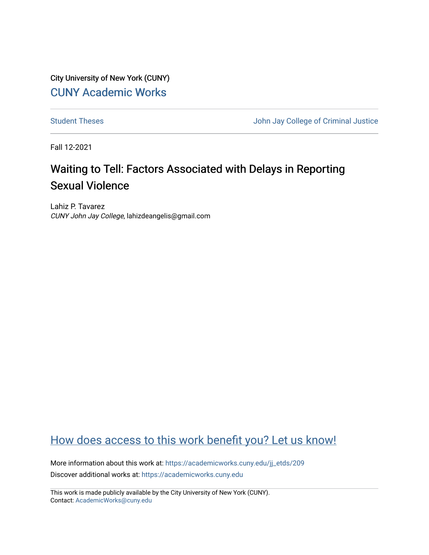City University of New York (CUNY) [CUNY Academic Works](https://academicworks.cuny.edu/) 

[Student Theses](https://academicworks.cuny.edu/jj_etds) **Student Theses** John Jay College of Criminal Justice

Fall 12-2021

# Waiting to Tell: Factors Associated with Delays in Reporting Sexual Violence

Lahiz P. Tavarez CUNY John Jay College, lahizdeangelis@gmail.com

## [How does access to this work benefit you? Let us know!](http://ols.cuny.edu/academicworks/?ref=https://academicworks.cuny.edu/jj_etds/209)

More information about this work at: [https://academicworks.cuny.edu/jj\\_etds/209](https://academicworks.cuny.edu/jj_etds/209)  Discover additional works at: [https://academicworks.cuny.edu](https://academicworks.cuny.edu/?)

This work is made publicly available by the City University of New York (CUNY). Contact: [AcademicWorks@cuny.edu](mailto:AcademicWorks@cuny.edu)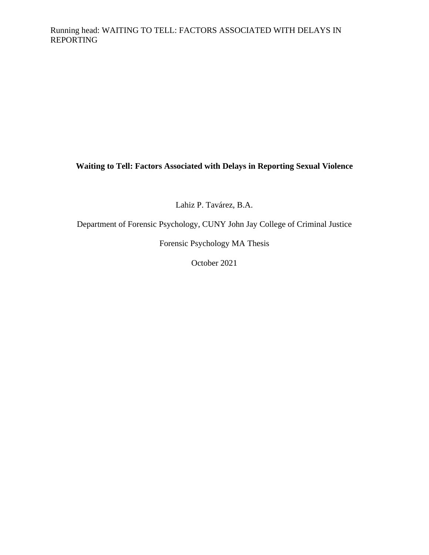**Waiting to Tell: Factors Associated with Delays in Reporting Sexual Violence**

Lahiz P. Tavárez, B.A.

Department of Forensic Psychology, CUNY John Jay College of Criminal Justice

Forensic Psychology MA Thesis

October 2021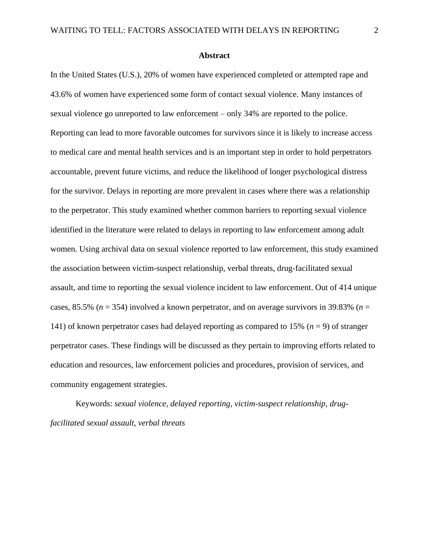#### **Abstract**

<span id="page-2-0"></span>In the United States (U.S.), 20% of women have experienced completed or attempted rape and 43.6% of women have experienced some form of contact sexual violence. Many instances of sexual violence go unreported to law enforcement – only 34% are reported to the police. Reporting can lead to more favorable outcomes for survivors since it is likely to increase access to medical care and mental health services and is an important step in order to hold perpetrators accountable, prevent future victims, and reduce the likelihood of longer psychological distress for the survivor. Delays in reporting are more prevalent in cases where there was a relationship to the perpetrator. This study examined whether common barriers to reporting sexual violence identified in the literature were related to delays in reporting to law enforcement among adult women. Using archival data on sexual violence reported to law enforcement, this study examined the association between victim-suspect relationship, verbal threats, drug-facilitated sexual assault, and time to reporting the sexual violence incident to law enforcement. Out of 414 unique cases, 85.5% ( $n = 354$ ) involved a known perpetrator, and on average survivors in 39.83% ( $n =$ 141) of known perpetrator cases had delayed reporting as compared to 15% (*n* = 9) of stranger perpetrator cases. These findings will be discussed as they pertain to improving efforts related to education and resources, law enforcement policies and procedures, provision of services, and community engagement strategies.

Keywords: *sexual violence, delayed reporting, victim-suspect relationship, drugfacilitated sexual assault, verbal threats*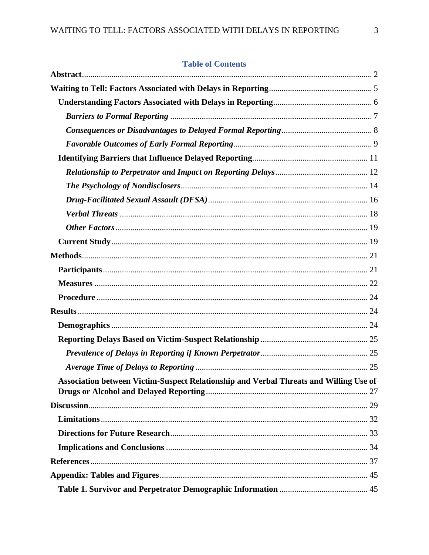## **Table of Contents**

| Association between Victim-Suspect Relationship and Verbal Threats and Willing Use of |  |
|---------------------------------------------------------------------------------------|--|
|                                                                                       |  |
|                                                                                       |  |
|                                                                                       |  |
|                                                                                       |  |
|                                                                                       |  |
|                                                                                       |  |
|                                                                                       |  |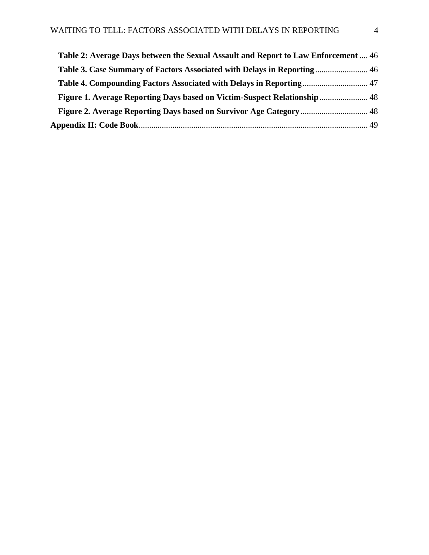| Table 2: Average Days between the Sexual Assault and Report to Law Enforcement  46 |  |
|------------------------------------------------------------------------------------|--|
| Table 3. Case Summary of Factors Associated with Delays in Reporting 46            |  |
|                                                                                    |  |
| Figure 1. Average Reporting Days based on Victim-Suspect Relationship 48           |  |
| <b>Figure 2. Average Reporting Days based on Survivor Age Category </b> 48         |  |
|                                                                                    |  |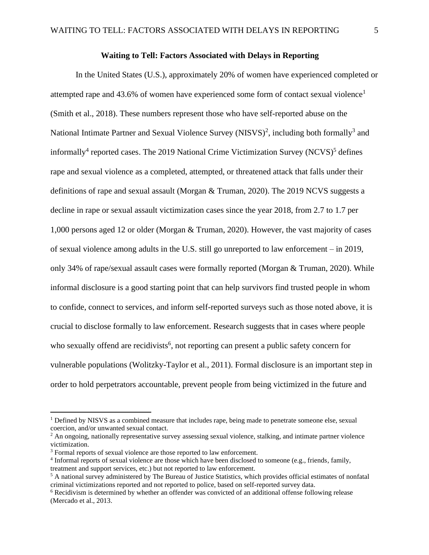#### **Waiting to Tell: Factors Associated with Delays in Reporting**

<span id="page-5-0"></span>In the United States (U.S.), approximately 20% of women have experienced completed or attempted rape and 43.6% of women have experienced some form of contact sexual violence<sup>1</sup> (Smith et al., 2018). These numbers represent those who have self-reported abuse on the National Intimate Partner and Sexual Violence Survey (NISVS)<sup>2</sup>, including both formally<sup>3</sup> and informally<sup>4</sup> reported cases. The 2019 National Crime Victimization Survey (NCVS)<sup>5</sup> defines rape and sexual violence as a completed, attempted, or threatened attack that falls under their definitions of rape and sexual assault (Morgan & Truman, 2020). The 2019 NCVS suggests a decline in rape or sexual assault victimization cases since the year 2018, from 2.7 to 1.7 per 1,000 persons aged 12 or older (Morgan & Truman, 2020). However, the vast majority of cases of sexual violence among adults in the U.S. still go unreported to law enforcement – in 2019, only 34% of rape/sexual assault cases were formally reported (Morgan & Truman, 2020). While informal disclosure is a good starting point that can help survivors find trusted people in whom to confide, connect to services, and inform self-reported surveys such as those noted above, it is crucial to disclose formally to law enforcement. Research suggests that in cases where people who sexually offend are recidivists<sup>6</sup>, not reporting can present a public safety concern for vulnerable populations (Wolitzky-Taylor et al., 2011). Formal disclosure is an important step in order to hold perpetrators accountable, prevent people from being victimized in the future and

<sup>&</sup>lt;sup>1</sup> Defined by NISVS as a combined measure that includes rape, being made to penetrate someone else, sexual coercion, and/or unwanted sexual contact.

<sup>&</sup>lt;sup>2</sup> An ongoing, nationally representative survey assessing sexual violence, stalking, and intimate partner violence victimization.

<sup>&</sup>lt;sup>3</sup> Formal reports of sexual violence are those reported to law enforcement.

<sup>4</sup> Informal reports of sexual violence are those which have been disclosed to someone (e.g., friends, family, treatment and support services, etc.) but not reported to law enforcement.

<sup>5</sup> A national survey administered by The Bureau of Justice Statistics, which provides official estimates of nonfatal criminal victimizations reported and not reported to police, based on self-reported survey data.

<sup>6</sup> Recidivism is determined by whether an offender was convicted of an additional offense following release (Mercado et al., 2013.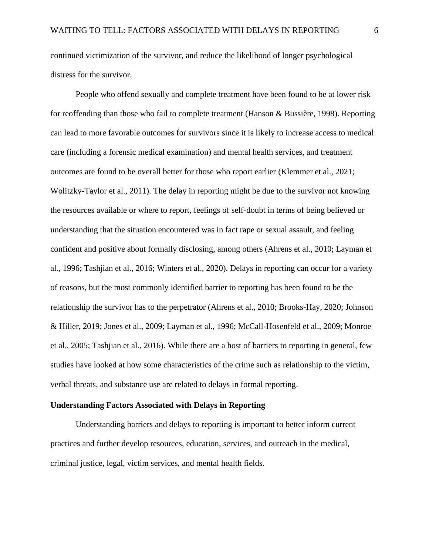continued victimization of the survivor, and reduce the likelihood of longer psychological distress for the survivor.

People who offend sexually and complete treatment have been found to be at lower risk for reoffending than those who fail to complete treatment (Hanson & Bussière, 1998). Reporting can lead to more favorable outcomes for survivors since it is likely to increase access to medical care (including a forensic medical examination) and mental health services, and treatment outcomes are found to be overall better for those who report earlier (Klemmer et al., 2021; Wolitzky-Taylor et al., 2011). The delay in reporting might be due to the survivor not knowing the resources available or where to report, feelings of self-doubt in terms of being believed or understanding that the situation encountered was in fact rape or sexual assault, and feeling confident and positive about formally disclosing, among others (Ahrens et al., 2010; Layman et al., 1996; Tashjian et al., 2016; Winters et al., 2020). Delays in reporting can occur for a variety of reasons, but the most commonly identified barrier to reporting has been found to be the relationship the survivor has to the perpetrator (Ahrens et al., 2010; Brooks-Hay, 2020; Johnson & Hiller, 2019; Jones et al., 2009; Layman et al., 1996; McCall-Hosenfeld et al., 2009; Monroe et al., 2005; Tashjian et al., 2016). While there are a host of barriers to reporting in general, few studies have looked at how some characteristics of the crime such as relationship to the victim, verbal threats, and substance use are related to delays in formal reporting.

### <span id="page-6-0"></span>**Understanding Factors Associated with Delays in Reporting**

Understanding barriers and delays to reporting is important to better inform current practices and further develop resources, education, services, and outreach in the medical, criminal justice, legal, victim services, and mental health fields.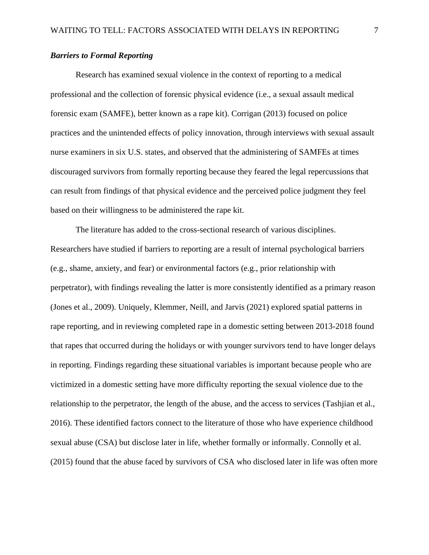### <span id="page-7-0"></span>*Barriers to Formal Reporting*

Research has examined sexual violence in the context of reporting to a medical professional and the collection of forensic physical evidence (i.e., a sexual assault medical forensic exam (SAMFE), better known as a rape kit). Corrigan (2013) focused on police practices and the unintended effects of policy innovation, through interviews with sexual assault nurse examiners in six U.S. states, and observed that the administering of SAMFEs at times discouraged survivors from formally reporting because they feared the legal repercussions that can result from findings of that physical evidence and the perceived police judgment they feel based on their willingness to be administered the rape kit.

The literature has added to the cross-sectional research of various disciplines. Researchers have studied if barriers to reporting are a result of internal psychological barriers (e.g., shame, anxiety, and fear) or environmental factors (e.g., prior relationship with perpetrator), with findings revealing the latter is more consistently identified as a primary reason (Jones et al., 2009). Uniquely, Klemmer, Neill, and Jarvis (2021) explored spatial patterns in rape reporting, and in reviewing completed rape in a domestic setting between 2013-2018 found that rapes that occurred during the holidays or with younger survivors tend to have longer delays in reporting. Findings regarding these situational variables is important because people who are victimized in a domestic setting have more difficulty reporting the sexual violence due to the relationship to the perpetrator, the length of the abuse, and the access to services (Tashjian et al., 2016). These identified factors connect to the literature of those who have experience childhood sexual abuse (CSA) but disclose later in life, whether formally or informally. Connolly et al. (2015) found that the abuse faced by survivors of CSA who disclosed later in life was often more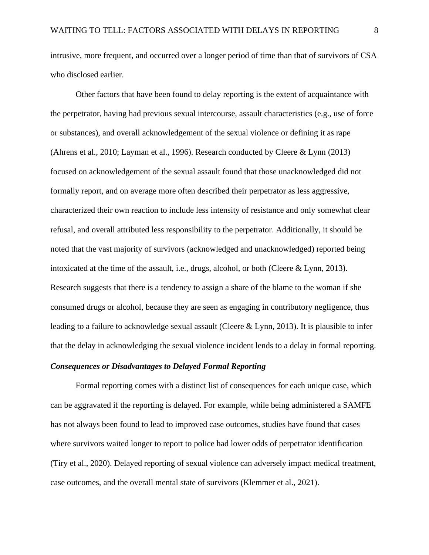intrusive, more frequent, and occurred over a longer period of time than that of survivors of CSA who disclosed earlier.

Other factors that have been found to delay reporting is the extent of acquaintance with the perpetrator, having had previous sexual intercourse, assault characteristics (e.g., use of force or substances), and overall acknowledgement of the sexual violence or defining it as rape (Ahrens et al., 2010; Layman et al., 1996). Research conducted by Cleere & Lynn (2013) focused on acknowledgement of the sexual assault found that those unacknowledged did not formally report, and on average more often described their perpetrator as less aggressive, characterized their own reaction to include less intensity of resistance and only somewhat clear refusal, and overall attributed less responsibility to the perpetrator. Additionally, it should be noted that the vast majority of survivors (acknowledged and unacknowledged) reported being intoxicated at the time of the assault, i.e., drugs, alcohol, or both (Cleere & Lynn, 2013). Research suggests that there is a tendency to assign a share of the blame to the woman if she consumed drugs or alcohol, because they are seen as engaging in contributory negligence, thus leading to a failure to acknowledge sexual assault (Cleere & Lynn, 2013). It is plausible to infer that the delay in acknowledging the sexual violence incident lends to a delay in formal reporting.

#### <span id="page-8-0"></span>*Consequences or Disadvantages to Delayed Formal Reporting*

Formal reporting comes with a distinct list of consequences for each unique case, which can be aggravated if the reporting is delayed. For example, while being administered a SAMFE has not always been found to lead to improved case outcomes, studies have found that cases where survivors waited longer to report to police had lower odds of perpetrator identification (Tiry et al., 2020). Delayed reporting of sexual violence can adversely impact medical treatment, case outcomes, and the overall mental state of survivors (Klemmer et al., 2021).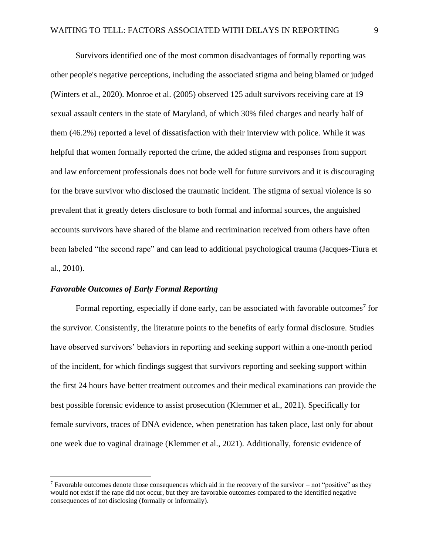Survivors identified one of the most common disadvantages of formally reporting was other people's negative perceptions, including the associated stigma and being blamed or judged (Winters et al., 2020). Monroe et al. (2005) observed 125 adult survivors receiving care at 19 sexual assault centers in the state of Maryland, of which 30% filed charges and nearly half of them (46.2%) reported a level of dissatisfaction with their interview with police. While it was helpful that women formally reported the crime, the added stigma and responses from support and law enforcement professionals does not bode well for future survivors and it is discouraging for the brave survivor who disclosed the traumatic incident. The stigma of sexual violence is so prevalent that it greatly deters disclosure to both formal and informal sources, the anguished accounts survivors have shared of the blame and recrimination received from others have often been labeled "the second rape" and can lead to additional psychological trauma (Jacques-Tiura et al., 2010).

#### <span id="page-9-0"></span>*Favorable Outcomes of Early Formal Reporting*

Formal reporting, especially if done early, can be associated with favorable outcomes<sup>7</sup> for the survivor. Consistently, the literature points to the benefits of early formal disclosure. Studies have observed survivors' behaviors in reporting and seeking support within a one-month period of the incident, for which findings suggest that survivors reporting and seeking support within the first 24 hours have better treatment outcomes and their medical examinations can provide the best possible forensic evidence to assist prosecution (Klemmer et al., 2021). Specifically for female survivors, traces of DNA evidence, when penetration has taken place, last only for about one week due to vaginal drainage (Klemmer et al., 2021). Additionally, forensic evidence of

<sup>&</sup>lt;sup>7</sup> Favorable outcomes denote those consequences which aid in the recovery of the survivor – not "positive" as they would not exist if the rape did not occur, but they are favorable outcomes compared to the identified negative consequences of not disclosing (formally or informally).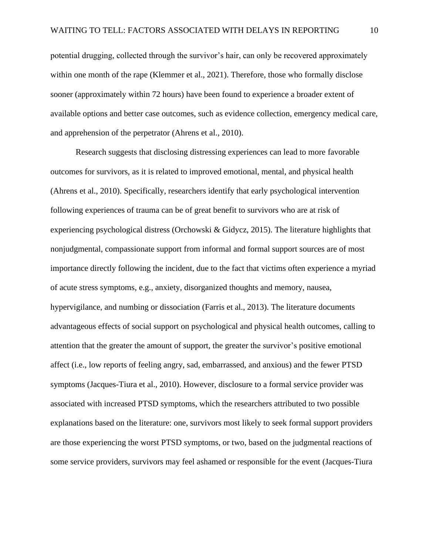potential drugging, collected through the survivor's hair, can only be recovered approximately within one month of the rape (Klemmer et al., 2021). Therefore, those who formally disclose sooner (approximately within 72 hours) have been found to experience a broader extent of available options and better case outcomes, such as evidence collection, emergency medical care, and apprehension of the perpetrator (Ahrens et al., 2010).

Research suggests that disclosing distressing experiences can lead to more favorable outcomes for survivors, as it is related to improved emotional, mental, and physical health (Ahrens et al., 2010). Specifically, researchers identify that early psychological intervention following experiences of trauma can be of great benefit to survivors who are at risk of experiencing psychological distress (Orchowski & Gidycz, 2015). The literature highlights that nonjudgmental, compassionate support from informal and formal support sources are of most importance directly following the incident, due to the fact that victims often experience a myriad of acute stress symptoms, e.g., anxiety, disorganized thoughts and memory, nausea, hypervigilance, and numbing or dissociation (Farris et al., 2013). The literature documents advantageous effects of social support on psychological and physical health outcomes, calling to attention that the greater the amount of support, the greater the survivor's positive emotional affect (i.e., low reports of feeling angry, sad, embarrassed, and anxious) and the fewer PTSD symptoms (Jacques-Tiura et al., 2010). However, disclosure to a formal service provider was associated with increased PTSD symptoms, which the researchers attributed to two possible explanations based on the literature: one, survivors most likely to seek formal support providers are those experiencing the worst PTSD symptoms, or two, based on the judgmental reactions of some service providers, survivors may feel ashamed or responsible for the event (Jacques-Tiura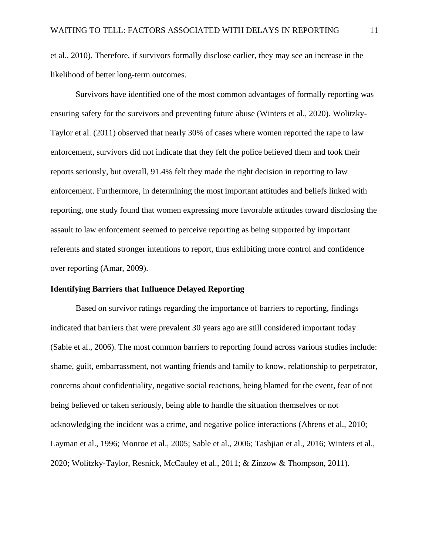et al., 2010). Therefore, if survivors formally disclose earlier, they may see an increase in the likelihood of better long-term outcomes.

Survivors have identified one of the most common advantages of formally reporting was ensuring safety for the survivors and preventing future abuse (Winters et al., 2020). Wolitzky-Taylor et al. (2011) observed that nearly 30% of cases where women reported the rape to law enforcement, survivors did not indicate that they felt the police believed them and took their reports seriously, but overall, 91.4% felt they made the right decision in reporting to law enforcement. Furthermore, in determining the most important attitudes and beliefs linked with reporting, one study found that women expressing more favorable attitudes toward disclosing the assault to law enforcement seemed to perceive reporting as being supported by important referents and stated stronger intentions to report, thus exhibiting more control and confidence over reporting (Amar, 2009).

## <span id="page-11-0"></span>**Identifying Barriers that Influence Delayed Reporting**

Based on survivor ratings regarding the importance of barriers to reporting, findings indicated that barriers that were prevalent 30 years ago are still considered important today (Sable et al., 2006). The most common barriers to reporting found across various studies include: shame, guilt, embarrassment, not wanting friends and family to know, relationship to perpetrator, concerns about confidentiality, negative social reactions, being blamed for the event, fear of not being believed or taken seriously, being able to handle the situation themselves or not acknowledging the incident was a crime, and negative police interactions (Ahrens et al., 2010; Layman et al., 1996; Monroe et al., 2005; Sable et al., 2006; Tashjian et al., 2016; Winters et al., 2020; Wolitzky-Taylor, Resnick, McCauley et al., 2011; & Zinzow & Thompson, 2011).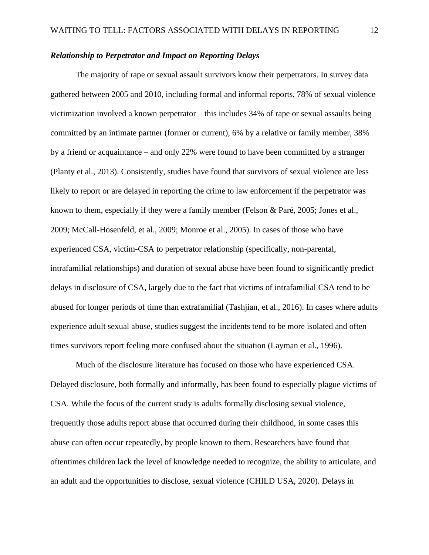#### <span id="page-12-0"></span>*Relationship to Perpetrator and Impact on Reporting Delays*

The majority of rape or sexual assault survivors know their perpetrators. In survey data gathered between 2005 and 2010, including formal and informal reports, 78% of sexual violence victimization involved a known perpetrator – this includes 34% of rape or sexual assaults being committed by an intimate partner (former or current), 6% by a relative or family member, 38% by a friend or acquaintance – and only 22% were found to have been committed by a stranger (Planty et al., 2013). Consistently, studies have found that survivors of sexual violence are less likely to report or are delayed in reporting the crime to law enforcement if the perpetrator was known to them, especially if they were a family member (Felson & Paré, 2005; Jones et al., 2009; McCall-Hosenfeld, et al., 2009; Monroe et al., 2005). In cases of those who have experienced CSA, victim-CSA to perpetrator relationship (specifically, non-parental, intrafamilial relationships) and duration of sexual abuse have been found to significantly predict delays in disclosure of CSA, largely due to the fact that victims of intrafamilial CSA tend to be abused for longer periods of time than extrafamilial (Tashjian, et al., 2016). In cases where adults experience adult sexual abuse, studies suggest the incidents tend to be more isolated and often times survivors report feeling more confused about the situation (Layman et al., 1996).

Much of the disclosure literature has focused on those who have experienced CSA. Delayed disclosure, both formally and informally, has been found to especially plague victims of CSA. While the focus of the current study is adults formally disclosing sexual violence, frequently those adults report abuse that occurred during their childhood, in some cases this abuse can often occur repeatedly, by people known to them. Researchers have found that oftentimes children lack the level of knowledge needed to recognize, the ability to articulate, and an adult and the opportunities to disclose, sexual violence (CHILD USA, 2020). Delays in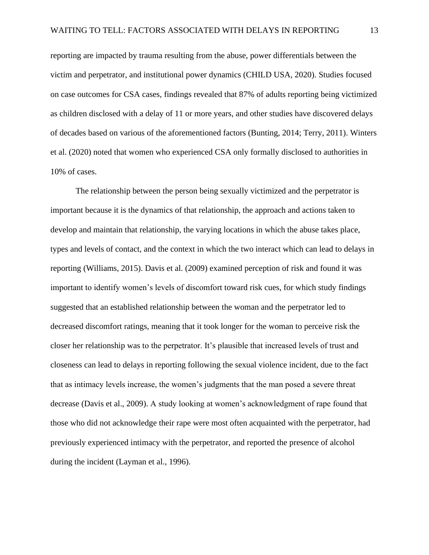reporting are impacted by trauma resulting from the abuse, power differentials between the victim and perpetrator, and institutional power dynamics (CHILD USA, 2020). Studies focused on case outcomes for CSA cases, findings revealed that 87% of adults reporting being victimized as children disclosed with a delay of 11 or more years, and other studies have discovered delays of decades based on various of the aforementioned factors (Bunting, 2014; Terry, 2011). Winters et al. (2020) noted that women who experienced CSA only formally disclosed to authorities in 10% of cases.

The relationship between the person being sexually victimized and the perpetrator is important because it is the dynamics of that relationship, the approach and actions taken to develop and maintain that relationship, the varying locations in which the abuse takes place, types and levels of contact, and the context in which the two interact which can lead to delays in reporting (Williams, 2015). Davis et al. (2009) examined perception of risk and found it was important to identify women's levels of discomfort toward risk cues, for which study findings suggested that an established relationship between the woman and the perpetrator led to decreased discomfort ratings, meaning that it took longer for the woman to perceive risk the closer her relationship was to the perpetrator. It's plausible that increased levels of trust and closeness can lead to delays in reporting following the sexual violence incident, due to the fact that as intimacy levels increase, the women's judgments that the man posed a severe threat decrease (Davis et al., 2009). A study looking at women's acknowledgment of rape found that those who did not acknowledge their rape were most often acquainted with the perpetrator, had previously experienced intimacy with the perpetrator, and reported the presence of alcohol during the incident (Layman et al., 1996).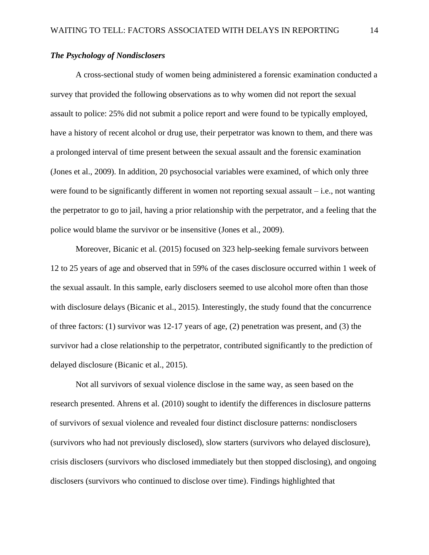#### <span id="page-14-0"></span>*The Psychology of Nondisclosers*

A cross-sectional study of women being administered a forensic examination conducted a survey that provided the following observations as to why women did not report the sexual assault to police: 25% did not submit a police report and were found to be typically employed, have a history of recent alcohol or drug use, their perpetrator was known to them, and there was a prolonged interval of time present between the sexual assault and the forensic examination (Jones et al., 2009). In addition, 20 psychosocial variables were examined, of which only three were found to be significantly different in women not reporting sexual assault – i.e., not wanting the perpetrator to go to jail, having a prior relationship with the perpetrator, and a feeling that the police would blame the survivor or be insensitive (Jones et al., 2009).

Moreover, Bicanic et al. (2015) focused on 323 help-seeking female survivors between 12 to 25 years of age and observed that in 59% of the cases disclosure occurred within 1 week of the sexual assault. In this sample, early disclosers seemed to use alcohol more often than those with disclosure delays (Bicanic et al., 2015). Interestingly, the study found that the concurrence of three factors: (1) survivor was 12-17 years of age, (2) penetration was present, and (3) the survivor had a close relationship to the perpetrator, contributed significantly to the prediction of delayed disclosure (Bicanic et al., 2015).

Not all survivors of sexual violence disclose in the same way, as seen based on the research presented. Ahrens et al. (2010) sought to identify the differences in disclosure patterns of survivors of sexual violence and revealed four distinct disclosure patterns: nondisclosers (survivors who had not previously disclosed), slow starters (survivors who delayed disclosure), crisis disclosers (survivors who disclosed immediately but then stopped disclosing), and ongoing disclosers (survivors who continued to disclose over time). Findings highlighted that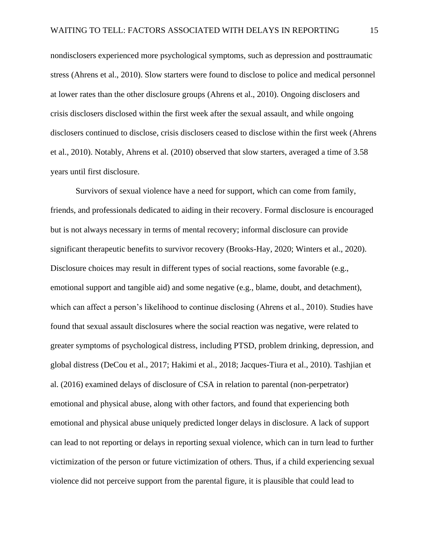nondisclosers experienced more psychological symptoms, such as depression and posttraumatic stress (Ahrens et al., 2010). Slow starters were found to disclose to police and medical personnel at lower rates than the other disclosure groups (Ahrens et al., 2010). Ongoing disclosers and crisis disclosers disclosed within the first week after the sexual assault, and while ongoing disclosers continued to disclose, crisis disclosers ceased to disclose within the first week (Ahrens et al., 2010). Notably, Ahrens et al. (2010) observed that slow starters, averaged a time of 3.58 years until first disclosure.

Survivors of sexual violence have a need for support, which can come from family, friends, and professionals dedicated to aiding in their recovery. Formal disclosure is encouraged but is not always necessary in terms of mental recovery; informal disclosure can provide significant therapeutic benefits to survivor recovery (Brooks-Hay, 2020; Winters et al., 2020). Disclosure choices may result in different types of social reactions, some favorable (e.g., emotional support and tangible aid) and some negative (e.g., blame, doubt, and detachment), which can affect a person's likelihood to continue disclosing (Ahrens et al., 2010). Studies have found that sexual assault disclosures where the social reaction was negative, were related to greater symptoms of psychological distress, including PTSD, problem drinking, depression, and global distress (DeCou et al., 2017; Hakimi et al., 2018; Jacques-Tiura et al., 2010). Tashjian et al. (2016) examined delays of disclosure of CSA in relation to parental (non-perpetrator) emotional and physical abuse, along with other factors, and found that experiencing both emotional and physical abuse uniquely predicted longer delays in disclosure. A lack of support can lead to not reporting or delays in reporting sexual violence, which can in turn lead to further victimization of the person or future victimization of others. Thus, if a child experiencing sexual violence did not perceive support from the parental figure, it is plausible that could lead to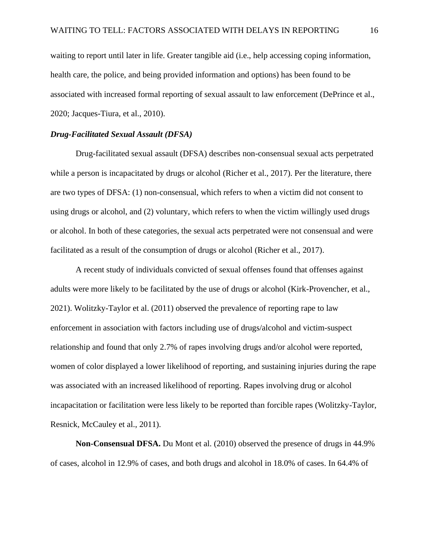waiting to report until later in life. Greater tangible aid (i.e., help accessing coping information, health care, the police, and being provided information and options) has been found to be associated with increased formal reporting of sexual assault to law enforcement (DePrince et al., 2020; Jacques-Tiura, et al., 2010).

#### <span id="page-16-0"></span>*Drug-Facilitated Sexual Assault (DFSA)*

Drug-facilitated sexual assault (DFSA) describes non-consensual sexual acts perpetrated while a person is incapacitated by drugs or alcohol (Richer et al., 2017). Per the literature, there are two types of DFSA: (1) non-consensual, which refers to when a victim did not consent to using drugs or alcohol, and (2) voluntary, which refers to when the victim willingly used drugs or alcohol. In both of these categories, the sexual acts perpetrated were not consensual and were facilitated as a result of the consumption of drugs or alcohol (Richer et al., 2017).

A recent study of individuals convicted of sexual offenses found that offenses against adults were more likely to be facilitated by the use of drugs or alcohol (Kirk-Provencher, et al., 2021). Wolitzky-Taylor et al. (2011) observed the prevalence of reporting rape to law enforcement in association with factors including use of drugs/alcohol and victim-suspect relationship and found that only 2.7% of rapes involving drugs and/or alcohol were reported, women of color displayed a lower likelihood of reporting, and sustaining injuries during the rape was associated with an increased likelihood of reporting. Rapes involving drug or alcohol incapacitation or facilitation were less likely to be reported than forcible rapes (Wolitzky-Taylor, Resnick, McCauley et al., 2011).

**Non-Consensual DFSA.** Du Mont et al. (2010) observed the presence of drugs in 44.9% of cases, alcohol in 12.9% of cases, and both drugs and alcohol in 18.0% of cases. In 64.4% of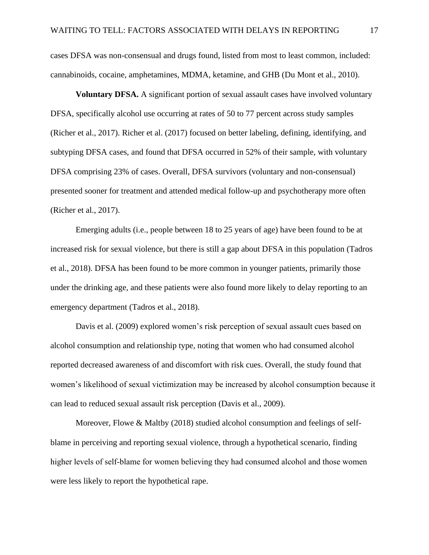cases DFSA was non-consensual and drugs found, listed from most to least common, included: cannabinoids, cocaine, amphetamines, MDMA, ketamine, and GHB (Du Mont et al., 2010).

**Voluntary DFSA.** A significant portion of sexual assault cases have involved voluntary DFSA, specifically alcohol use occurring at rates of 50 to 77 percent across study samples (Richer et al., 2017). Richer et al. (2017) focused on better labeling, defining, identifying, and subtyping DFSA cases, and found that DFSA occurred in 52% of their sample, with voluntary DFSA comprising 23% of cases. Overall, DFSA survivors (voluntary and non-consensual) presented sooner for treatment and attended medical follow-up and psychotherapy more often (Richer et al., 2017).

Emerging adults (i.e., people between 18 to 25 years of age) have been found to be at increased risk for sexual violence, but there is still a gap about DFSA in this population (Tadros et al., 2018). DFSA has been found to be more common in younger patients, primarily those under the drinking age, and these patients were also found more likely to delay reporting to an emergency department (Tadros et al., 2018).

Davis et al. (2009) explored women's risk perception of sexual assault cues based on alcohol consumption and relationship type, noting that women who had consumed alcohol reported decreased awareness of and discomfort with risk cues. Overall, the study found that women's likelihood of sexual victimization may be increased by alcohol consumption because it can lead to reduced sexual assault risk perception (Davis et al., 2009).

Moreover, Flowe & Maltby (2018) studied alcohol consumption and feelings of selfblame in perceiving and reporting sexual violence, through a hypothetical scenario, finding higher levels of self-blame for women believing they had consumed alcohol and those women were less likely to report the hypothetical rape.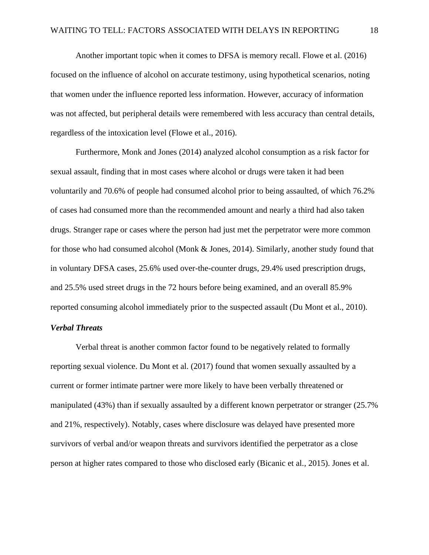Another important topic when it comes to DFSA is memory recall. Flowe et al. (2016) focused on the influence of alcohol on accurate testimony, using hypothetical scenarios, noting that women under the influence reported less information. However, accuracy of information was not affected, but peripheral details were remembered with less accuracy than central details, regardless of the intoxication level (Flowe et al., 2016).

Furthermore, Monk and Jones (2014) analyzed alcohol consumption as a risk factor for sexual assault, finding that in most cases where alcohol or drugs were taken it had been voluntarily and 70.6% of people had consumed alcohol prior to being assaulted, of which 76.2% of cases had consumed more than the recommended amount and nearly a third had also taken drugs. Stranger rape or cases where the person had just met the perpetrator were more common for those who had consumed alcohol (Monk & Jones, 2014). Similarly, another study found that in voluntary DFSA cases, 25.6% used over-the-counter drugs, 29.4% used prescription drugs, and 25.5% used street drugs in the 72 hours before being examined, and an overall 85.9% reported consuming alcohol immediately prior to the suspected assault (Du Mont et al., 2010).

## <span id="page-18-0"></span>*Verbal Threats*

Verbal threat is another common factor found to be negatively related to formally reporting sexual violence. Du Mont et al. (2017) found that women sexually assaulted by a current or former intimate partner were more likely to have been verbally threatened or manipulated (43%) than if sexually assaulted by a different known perpetrator or stranger (25.7% and 21%, respectively). Notably, cases where disclosure was delayed have presented more survivors of verbal and/or weapon threats and survivors identified the perpetrator as a close person at higher rates compared to those who disclosed early (Bicanic et al., 2015). Jones et al.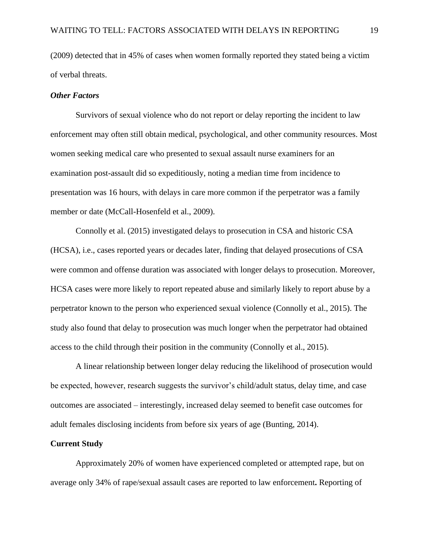(2009) detected that in 45% of cases when women formally reported they stated being a victim of verbal threats.

#### <span id="page-19-0"></span>*Other Factors*

Survivors of sexual violence who do not report or delay reporting the incident to law enforcement may often still obtain medical, psychological, and other community resources. Most women seeking medical care who presented to sexual assault nurse examiners for an examination post-assault did so expeditiously, noting a median time from incidence to presentation was 16 hours, with delays in care more common if the perpetrator was a family member or date (McCall-Hosenfeld et al., 2009).

Connolly et al. (2015) investigated delays to prosecution in CSA and historic CSA (HCSA), i.e., cases reported years or decades later, finding that delayed prosecutions of CSA were common and offense duration was associated with longer delays to prosecution. Moreover, HCSA cases were more likely to report repeated abuse and similarly likely to report abuse by a perpetrator known to the person who experienced sexual violence (Connolly et al., 2015). The study also found that delay to prosecution was much longer when the perpetrator had obtained access to the child through their position in the community (Connolly et al., 2015).

A linear relationship between longer delay reducing the likelihood of prosecution would be expected, however, research suggests the survivor's child/adult status, delay time, and case outcomes are associated – interestingly, increased delay seemed to benefit case outcomes for adult females disclosing incidents from before six years of age (Bunting, 2014).

#### <span id="page-19-1"></span>**Current Study**

Approximately 20% of women have experienced completed or attempted rape, but on average only 34% of rape/sexual assault cases are reported to law enforcement**.** Reporting of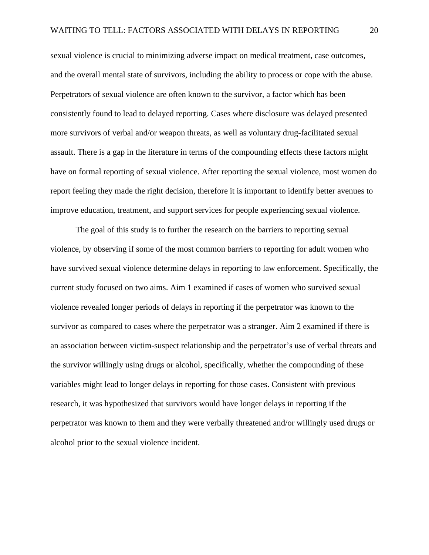sexual violence is crucial to minimizing adverse impact on medical treatment, case outcomes, and the overall mental state of survivors, including the ability to process or cope with the abuse. Perpetrators of sexual violence are often known to the survivor, a factor which has been consistently found to lead to delayed reporting. Cases where disclosure was delayed presented more survivors of verbal and/or weapon threats, as well as voluntary drug-facilitated sexual assault. There is a gap in the literature in terms of the compounding effects these factors might have on formal reporting of sexual violence. After reporting the sexual violence, most women do report feeling they made the right decision, therefore it is important to identify better avenues to improve education, treatment, and support services for people experiencing sexual violence.

The goal of this study is to further the research on the barriers to reporting sexual violence, by observing if some of the most common barriers to reporting for adult women who have survived sexual violence determine delays in reporting to law enforcement. Specifically, the current study focused on two aims. Aim 1 examined if cases of women who survived sexual violence revealed longer periods of delays in reporting if the perpetrator was known to the survivor as compared to cases where the perpetrator was a stranger. Aim 2 examined if there is an association between victim-suspect relationship and the perpetrator's use of verbal threats and the survivor willingly using drugs or alcohol, specifically, whether the compounding of these variables might lead to longer delays in reporting for those cases. Consistent with previous research, it was hypothesized that survivors would have longer delays in reporting if the perpetrator was known to them and they were verbally threatened and/or willingly used drugs or alcohol prior to the sexual violence incident.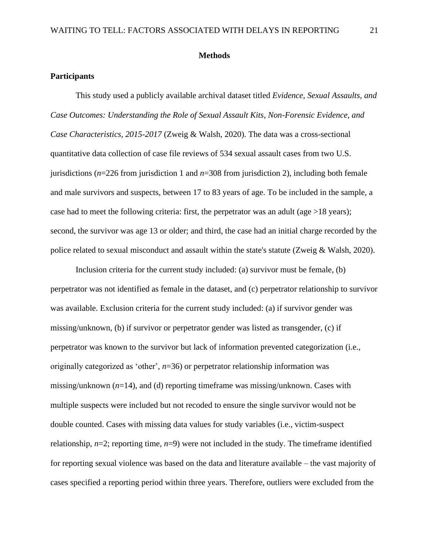#### **Methods**

#### <span id="page-21-1"></span><span id="page-21-0"></span>**Participants**

This study used a publicly available archival dataset titled *Evidence, Sexual Assaults, and Case Outcomes: Understanding the Role of Sexual Assault Kits, Non-Forensic Evidence, and Case Characteristics, 2015-2017* (Zweig & Walsh, 2020). The data was a cross-sectional quantitative data collection of case file reviews of 534 sexual assault cases from two U.S. jurisdictions (*n*=226 from jurisdiction 1 and *n*=308 from jurisdiction 2), including both female and male survivors and suspects, between 17 to 83 years of age. To be included in the sample, a case had to meet the following criteria: first, the perpetrator was an adult (age  $>18$  years); second, the survivor was age 13 or older; and third, the case had an initial charge recorded by the police related to sexual misconduct and assault within the state's statute (Zweig & Walsh, 2020).

Inclusion criteria for the current study included: (a) survivor must be female, (b) perpetrator was not identified as female in the dataset, and (c) perpetrator relationship to survivor was available. Exclusion criteria for the current study included: (a) if survivor gender was missing/unknown, (b) if survivor or perpetrator gender was listed as transgender, (c) if perpetrator was known to the survivor but lack of information prevented categorization (i.e., originally categorized as 'other', *n*=36) or perpetrator relationship information was missing/unknown (*n*=14), and (d) reporting timeframe was missing/unknown. Cases with multiple suspects were included but not recoded to ensure the single survivor would not be double counted. Cases with missing data values for study variables (i.e., victim-suspect relationship,  $n=2$ ; reporting time,  $n=9$ ) were not included in the study. The timeframe identified for reporting sexual violence was based on the data and literature available – the vast majority of cases specified a reporting period within three years. Therefore, outliers were excluded from the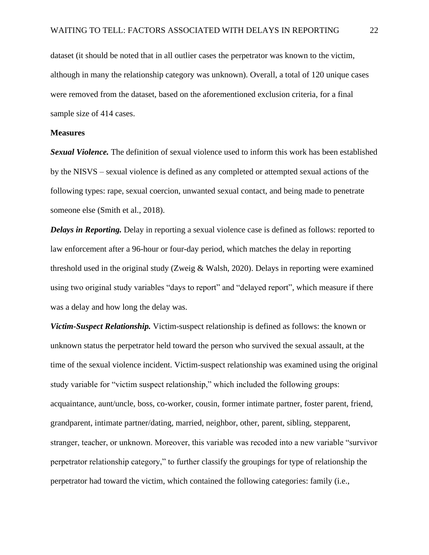dataset (it should be noted that in all outlier cases the perpetrator was known to the victim, although in many the relationship category was unknown). Overall, a total of 120 unique cases were removed from the dataset, based on the aforementioned exclusion criteria, for a final sample size of 414 cases.

#### <span id="page-22-0"></span>**Measures**

*Sexual Violence.* The definition of sexual violence used to inform this work has been established by the NISVS – sexual violence is defined as any completed or attempted sexual actions of the following types: rape, sexual coercion, unwanted sexual contact, and being made to penetrate someone else (Smith et al., 2018).

*Delays in Reporting.* Delay in reporting a sexual violence case is defined as follows: reported to law enforcement after a 96-hour or four-day period, which matches the delay in reporting threshold used in the original study (Zweig & Walsh, 2020). Delays in reporting were examined using two original study variables "days to report" and "delayed report", which measure if there was a delay and how long the delay was.

*Victim-Suspect Relationship.* Victim-suspect relationship is defined as follows: the known or unknown status the perpetrator held toward the person who survived the sexual assault, at the time of the sexual violence incident. Victim-suspect relationship was examined using the original study variable for "victim suspect relationship," which included the following groups: acquaintance, aunt/uncle, boss, co-worker, cousin, former intimate partner, foster parent, friend, grandparent, intimate partner/dating, married, neighbor, other, parent, sibling, stepparent, stranger, teacher, or unknown. Moreover, this variable was recoded into a new variable "survivor perpetrator relationship category," to further classify the groupings for type of relationship the perpetrator had toward the victim, which contained the following categories: family (i.e.,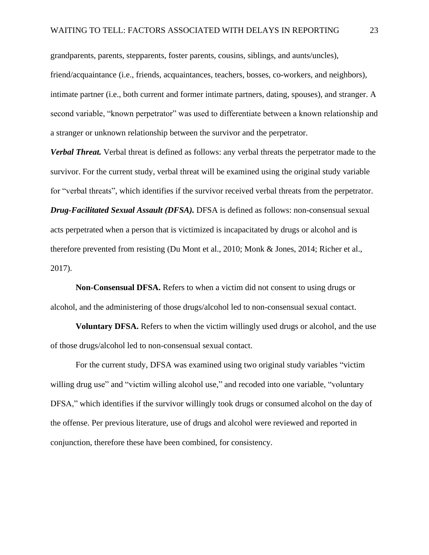grandparents, parents, stepparents, foster parents, cousins, siblings, and aunts/uncles), friend/acquaintance (i.e., friends, acquaintances, teachers, bosses, co-workers, and neighbors), intimate partner (i.e., both current and former intimate partners, dating, spouses), and stranger. A second variable, "known perpetrator" was used to differentiate between a known relationship and a stranger or unknown relationship between the survivor and the perpetrator.

*Verbal Threat.* Verbal threat is defined as follows: any verbal threats the perpetrator made to the survivor. For the current study, verbal threat will be examined using the original study variable for "verbal threats", which identifies if the survivor received verbal threats from the perpetrator. *Drug-Facilitated Sexual Assault (DFSA).* DFSA is defined as follows: non-consensual sexual acts perpetrated when a person that is victimized is incapacitated by drugs or alcohol and is therefore prevented from resisting (Du Mont et al., 2010; Monk & Jones, 2014; Richer et al., 2017).

**Non-Consensual DFSA.** Refers to when a victim did not consent to using drugs or alcohol, and the administering of those drugs/alcohol led to non-consensual sexual contact.

**Voluntary DFSA.** Refers to when the victim willingly used drugs or alcohol, and the use of those drugs/alcohol led to non-consensual sexual contact.

For the current study, DFSA was examined using two original study variables "victim willing drug use" and "victim willing alcohol use," and recoded into one variable, "voluntary DFSA," which identifies if the survivor willingly took drugs or consumed alcohol on the day of the offense. Per previous literature, use of drugs and alcohol were reviewed and reported in conjunction, therefore these have been combined, for consistency.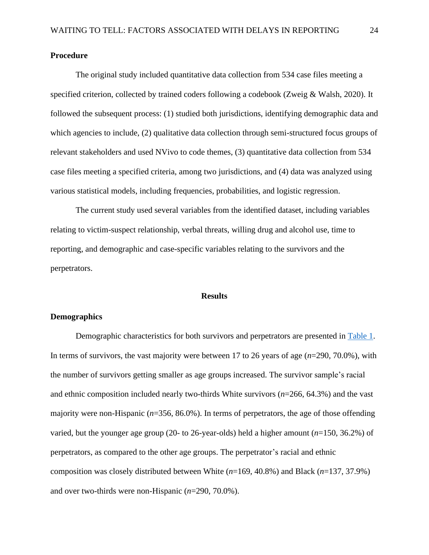### <span id="page-24-0"></span>**Procedure**

The original study included quantitative data collection from 534 case files meeting a specified criterion, collected by trained coders following a codebook (Zweig & Walsh, 2020). It followed the subsequent process: (1) studied both jurisdictions, identifying demographic data and which agencies to include, (2) qualitative data collection through semi-structured focus groups of relevant stakeholders and used NVivo to code themes, (3) quantitative data collection from 534 case files meeting a specified criteria, among two jurisdictions, and (4) data was analyzed using various statistical models, including frequencies, probabilities, and logistic regression.

The current study used several variables from the identified dataset, including variables relating to victim-suspect relationship, verbal threats, willing drug and alcohol use, time to reporting, and demographic and case-specific variables relating to the survivors and the perpetrators.

#### **Results**

### <span id="page-24-2"></span><span id="page-24-1"></span>**Demographics**

Demographic characteristics for both survivors and perpetrators are presented in [Table 1.](#page-45-1) In terms of survivors, the vast majority were between 17 to 26 years of age (*n*=290, 70.0%), with the number of survivors getting smaller as age groups increased. The survivor sample's racial and ethnic composition included nearly two-thirds White survivors (*n*=266, 64.3%) and the vast majority were non-Hispanic (*n*=356, 86.0%). In terms of perpetrators, the age of those offending varied, but the younger age group (20- to 26-year-olds) held a higher amount (*n*=150, 36.2%) of perpetrators, as compared to the other age groups. The perpetrator's racial and ethnic composition was closely distributed between White (*n*=169, 40.8%) and Black (*n*=137, 37.9%) and over two-thirds were non-Hispanic (*n*=290, 70.0%).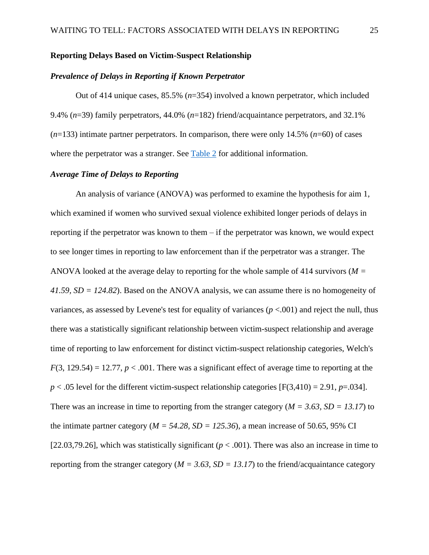#### <span id="page-25-0"></span>**Reporting Delays Based on Victim-Suspect Relationship**

#### <span id="page-25-1"></span>*Prevalence of Delays in Reporting if Known Perpetrator*

Out of 414 unique cases, 85.5% (*n*=354) involved a known perpetrator, which included 9.4% (*n*=39) family perpetrators, 44.0% (*n*=182) friend/acquaintance perpetrators, and 32.1%  $(n=133)$  intimate partner perpetrators. In comparison, there were only 14.5%  $(n=60)$  of cases where the perpetrator was a stranger. See [Table 2](#page-46-0) for additional information.

## <span id="page-25-2"></span>*Average Time of Delays to Reporting*

An analysis of variance (ANOVA) was performed to examine the hypothesis for aim 1, which examined if women who survived sexual violence exhibited longer periods of delays in reporting if the perpetrator was known to them – if the perpetrator was known, we would expect to see longer times in reporting to law enforcement than if the perpetrator was a stranger. The ANOVA looked at the average delay to reporting for the whole sample of 414 survivors (*M = 41.59, SD = 124.82*). Based on the ANOVA analysis, we can assume there is no homogeneity of variances, as assessed by Levene's test for equality of variances  $(p < .001)$  and reject the null, thus there was a statistically significant relationship between victim-suspect relationship and average time of reporting to law enforcement for distinct victim-suspect relationship categories, Welch's  $F(3, 129.54) = 12.77$ ,  $p < .001$ . There was a significant effect of average time to reporting at the  $p < .05$  level for the different victim-suspect relationship categories [F(3,410) = 2.91, *p*=.034]. There was an increase in time to reporting from the stranger category ( $M = 3.63$ ,  $SD = 13.17$ ) to the intimate partner category ( $M = 54.28$ ,  $SD = 125.36$ ), a mean increase of 50.65, 95% CI [22.03,79.26], which was statistically significant ( $p < .001$ ). There was also an increase in time to reporting from the stranger category ( $M = 3.63$ ,  $SD = 13.17$ ) to the friend/acquaintance category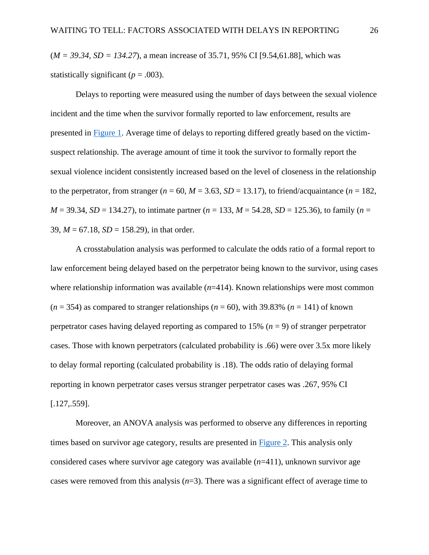(*M = 39.34, SD = 134.27*), a mean increase of 35.71, 95% CI [9.54,61.88], which was statistically significant  $(p = .003)$ .

Delays to reporting were measured using the number of days between the sexual violence incident and the time when the survivor formally reported to law enforcement, results are presented in [Figure 1.](#page-48-0) Average time of delays to reporting differed greatly based on the victimsuspect relationship. The average amount of time it took the survivor to formally report the sexual violence incident consistently increased based on the level of closeness in the relationship to the perpetrator, from stranger ( $n = 60$ ,  $M = 3.63$ ,  $SD = 13.17$ ), to friend/acquaintance ( $n = 182$ ,  $M = 39.34$ , *SD* = 134.27), to intimate partner ( $n = 133$ ,  $M = 54.28$ , *SD* = 125.36), to family ( $n =$ 39, *M* = 67.18, *SD* = 158.29), in that order.

A crosstabulation analysis was performed to calculate the odds ratio of a formal report to law enforcement being delayed based on the perpetrator being known to the survivor, using cases where relationship information was available ( $n=414$ ). Known relationships were most common  $(n = 354)$  as compared to stranger relationships  $(n = 60)$ , with 39.83%  $(n = 141)$  of known perpetrator cases having delayed reporting as compared to 15% (*n* = 9) of stranger perpetrator cases. Those with known perpetrators (calculated probability is .66) were over 3.5x more likely to delay formal reporting (calculated probability is .18). The odds ratio of delaying formal reporting in known perpetrator cases versus stranger perpetrator cases was .267, 95% CI [.127,.559].

Moreover, an ANOVA analysis was performed to observe any differences in reporting times based on survivor age category, results are presented in Figure 2. This analysis only considered cases where survivor age category was available (*n*=411), unknown survivor age cases were removed from this analysis (*n*=3). There was a significant effect of average time to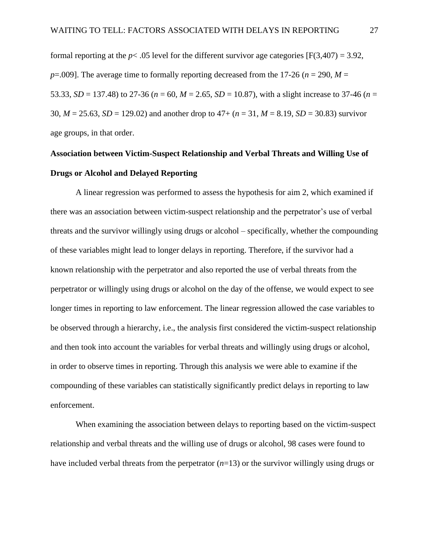formal reporting at the  $p < .05$  level for the different survivor age categories [F(3,407) = 3.92,  $p=0.009$ . The average time to formally reporting decreased from the 17-26 ( $n=290$ ,  $M=$ 53.33, *SD* = 137.48) to 27-36 ( $n = 60$ ,  $M = 2.65$ ,  $SD = 10.87$ ), with a slight increase to 37-46 ( $n =$ 30, *M* = 25.63, *SD* = 129.02) and another drop to 47+ (*n* = 31, *M* = 8.19, *SD* = 30.83) survivor age groups, in that order.

# <span id="page-27-0"></span>**Association between Victim-Suspect Relationship and Verbal Threats and Willing Use of Drugs or Alcohol and Delayed Reporting**

A linear regression was performed to assess the hypothesis for aim 2, which examined if there was an association between victim-suspect relationship and the perpetrator's use of verbal threats and the survivor willingly using drugs or alcohol – specifically, whether the compounding of these variables might lead to longer delays in reporting. Therefore, if the survivor had a known relationship with the perpetrator and also reported the use of verbal threats from the perpetrator or willingly using drugs or alcohol on the day of the offense, we would expect to see longer times in reporting to law enforcement. The linear regression allowed the case variables to be observed through a hierarchy, i.e., the analysis first considered the victim-suspect relationship and then took into account the variables for verbal threats and willingly using drugs or alcohol, in order to observe times in reporting. Through this analysis we were able to examine if the compounding of these variables can statistically significantly predict delays in reporting to law enforcement.

When examining the association between delays to reporting based on the victim-suspect relationship and verbal threats and the willing use of drugs or alcohol, 98 cases were found to have included verbal threats from the perpetrator (*n*=13) or the survivor willingly using drugs or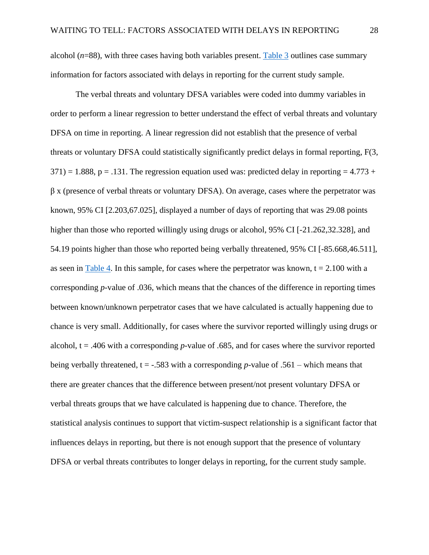alcohol (*n*=88), with three cases having both variables present. [Table 3](#page-46-1) outlines case summary information for factors associated with delays in reporting for the current study sample.

The verbal threats and voluntary DFSA variables were coded into dummy variables in order to perform a linear regression to better understand the effect of verbal threats and voluntary DFSA on time in reporting. A linear regression did not establish that the presence of verbal threats or voluntary DFSA could statistically significantly predict delays in formal reporting, F(3,  $371$ ) = 1.888, p = .131. The regression equation used was: predicted delay in reporting = 4.773 + β x (presence of verbal threats or voluntary DFSA). On average, cases where the perpetrator was known, 95% CI [2.203,67.025], displayed a number of days of reporting that was 29.08 points higher than those who reported willingly using drugs or alcohol, 95% CI [-21.262,32.328], and 54.19 points higher than those who reported being verbally threatened, 95% CI [-85.668,46.511], as seen in [Table 4.](#page-47-0) In this sample, for cases where the perpetrator was known,  $t = 2.100$  with a corresponding *p*-value of .036, which means that the chances of the difference in reporting times between known/unknown perpetrator cases that we have calculated is actually happening due to chance is very small. Additionally, for cases where the survivor reported willingly using drugs or alcohol, t = .406 with a corresponding *p*-value of .685, and for cases where the survivor reported being verbally threatened, t = -.583 with a corresponding *p*-value of .561 – which means that there are greater chances that the difference between present/not present voluntary DFSA or verbal threats groups that we have calculated is happening due to chance. Therefore, the statistical analysis continues to support that victim-suspect relationship is a significant factor that influences delays in reporting, but there is not enough support that the presence of voluntary DFSA or verbal threats contributes to longer delays in reporting, for the current study sample.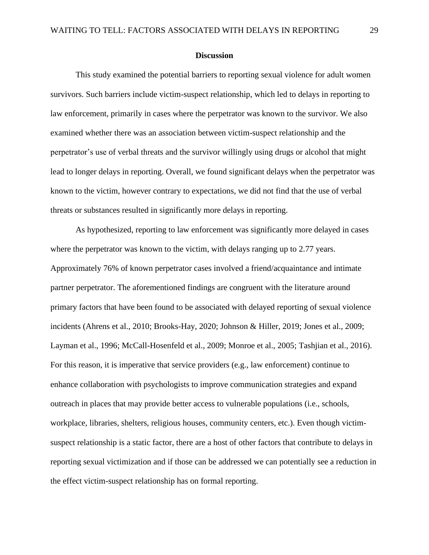#### **Discussion**

<span id="page-29-0"></span>This study examined the potential barriers to reporting sexual violence for adult women survivors. Such barriers include victim-suspect relationship, which led to delays in reporting to law enforcement, primarily in cases where the perpetrator was known to the survivor. We also examined whether there was an association between victim-suspect relationship and the perpetrator's use of verbal threats and the survivor willingly using drugs or alcohol that might lead to longer delays in reporting. Overall, we found significant delays when the perpetrator was known to the victim, however contrary to expectations, we did not find that the use of verbal threats or substances resulted in significantly more delays in reporting.

As hypothesized, reporting to law enforcement was significantly more delayed in cases where the perpetrator was known to the victim, with delays ranging up to 2.77 years. Approximately 76% of known perpetrator cases involved a friend/acquaintance and intimate partner perpetrator. The aforementioned findings are congruent with the literature around primary factors that have been found to be associated with delayed reporting of sexual violence incidents (Ahrens et al., 2010; Brooks-Hay, 2020; Johnson & Hiller, 2019; Jones et al., 2009; Layman et al., 1996; McCall-Hosenfeld et al., 2009; Monroe et al., 2005; Tashjian et al., 2016). For this reason, it is imperative that service providers (e.g., law enforcement) continue to enhance collaboration with psychologists to improve communication strategies and expand outreach in places that may provide better access to vulnerable populations (i.e., schools, workplace, libraries, shelters, religious houses, community centers, etc.). Even though victimsuspect relationship is a static factor, there are a host of other factors that contribute to delays in reporting sexual victimization and if those can be addressed we can potentially see a reduction in the effect victim-suspect relationship has on formal reporting.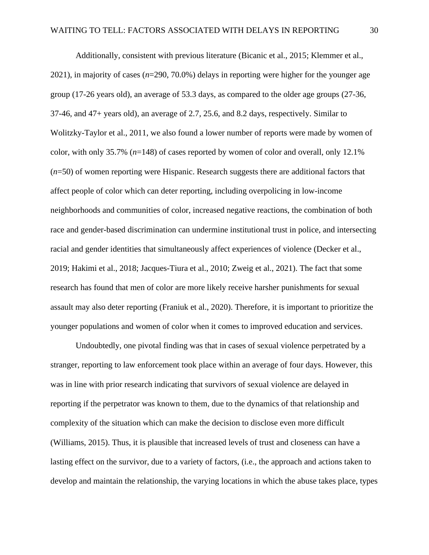Additionally, consistent with previous literature (Bicanic et al., 2015; Klemmer et al., 2021), in majority of cases (*n*=290, 70.0%) delays in reporting were higher for the younger age group (17-26 years old), an average of 53.3 days, as compared to the older age groups (27-36, 37-46, and 47+ years old), an average of 2.7, 25.6, and 8.2 days, respectively. Similar to Wolitzky-Taylor et al., 2011, we also found a lower number of reports were made by women of color, with only 35.7% (*n*=148) of cases reported by women of color and overall, only 12.1% (*n*=50) of women reporting were Hispanic. Research suggests there are additional factors that affect people of color which can deter reporting, including overpolicing in low-income neighborhoods and communities of color, increased negative reactions, the combination of both race and gender-based discrimination can undermine institutional trust in police, and intersecting racial and gender identities that simultaneously affect experiences of violence (Decker et al., 2019; Hakimi et al., 2018; Jacques-Tiura et al., 2010; Zweig et al., 2021). The fact that some research has found that men of color are more likely receive harsher punishments for sexual assault may also deter reporting (Franiuk et al., 2020). Therefore, it is important to prioritize the younger populations and women of color when it comes to improved education and services.

Undoubtedly, one pivotal finding was that in cases of sexual violence perpetrated by a stranger, reporting to law enforcement took place within an average of four days. However, this was in line with prior research indicating that survivors of sexual violence are delayed in reporting if the perpetrator was known to them, due to the dynamics of that relationship and complexity of the situation which can make the decision to disclose even more difficult (Williams, 2015). Thus, it is plausible that increased levels of trust and closeness can have a lasting effect on the survivor, due to a variety of factors, (i.e., the approach and actions taken to develop and maintain the relationship, the varying locations in which the abuse takes place, types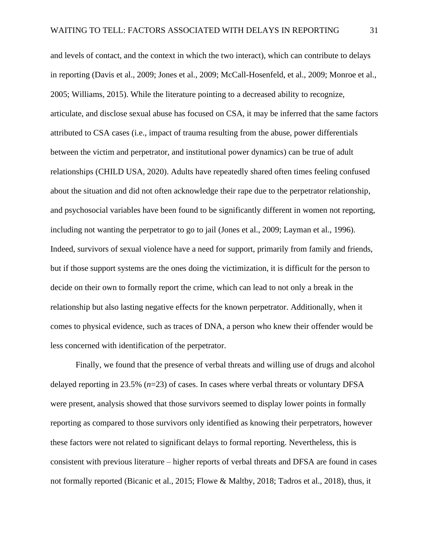and levels of contact, and the context in which the two interact), which can contribute to delays in reporting (Davis et al., 2009; Jones et al., 2009; McCall-Hosenfeld, et al., 2009; Monroe et al., 2005; Williams, 2015). While the literature pointing to a decreased ability to recognize, articulate, and disclose sexual abuse has focused on CSA, it may be inferred that the same factors attributed to CSA cases (i.e., impact of trauma resulting from the abuse, power differentials between the victim and perpetrator, and institutional power dynamics) can be true of adult relationships (CHILD USA, 2020). Adults have repeatedly shared often times feeling confused about the situation and did not often acknowledge their rape due to the perpetrator relationship, and psychosocial variables have been found to be significantly different in women not reporting, including not wanting the perpetrator to go to jail (Jones et al., 2009; Layman et al., 1996). Indeed, survivors of sexual violence have a need for support, primarily from family and friends, but if those support systems are the ones doing the victimization, it is difficult for the person to decide on their own to formally report the crime, which can lead to not only a break in the relationship but also lasting negative effects for the known perpetrator. Additionally, when it comes to physical evidence, such as traces of DNA, a person who knew their offender would be less concerned with identification of the perpetrator.

Finally, we found that the presence of verbal threats and willing use of drugs and alcohol delayed reporting in 23.5% (*n*=23) of cases. In cases where verbal threats or voluntary DFSA were present, analysis showed that those survivors seemed to display lower points in formally reporting as compared to those survivors only identified as knowing their perpetrators, however these factors were not related to significant delays to formal reporting. Nevertheless, this is consistent with previous literature – higher reports of verbal threats and DFSA are found in cases not formally reported (Bicanic et al., 2015; Flowe & Maltby, 2018; Tadros et al., 2018), thus, it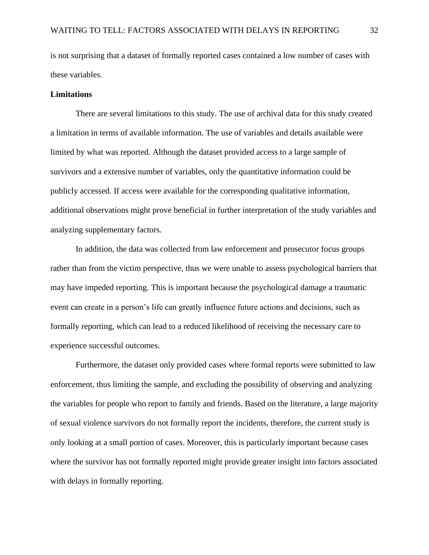is not surprising that a dataset of formally reported cases contained a low number of cases with these variables.

#### <span id="page-32-0"></span>**Limitations**

There are several limitations to this study. The use of archival data for this study created a limitation in terms of available information. The use of variables and details available were limited by what was reported. Although the dataset provided access to a large sample of survivors and a extensive number of variables, only the quantitative information could be publicly accessed. If access were available for the corresponding qualitative information, additional observations might prove beneficial in further interpretation of the study variables and analyzing supplementary factors.

In addition, the data was collected from law enforcement and prosecutor focus groups rather than from the victim perspective, thus we were unable to assess psychological barriers that may have impeded reporting. This is important because the psychological damage a traumatic event can create in a person's life can greatly influence future actions and decisions, such as formally reporting, which can lead to a reduced likelihood of receiving the necessary care to experience successful outcomes.

Furthermore, the dataset only provided cases where formal reports were submitted to law enforcement, thus limiting the sample, and excluding the possibility of observing and analyzing the variables for people who report to family and friends. Based on the literature, a large majority of sexual violence survivors do not formally report the incidents, therefore, the current study is only looking at a small portion of cases. Moreover, this is particularly important because cases where the survivor has not formally reported might provide greater insight into factors associated with delays in formally reporting.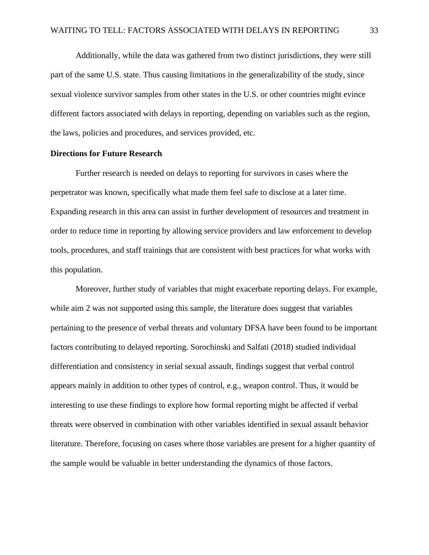Additionally, while the data was gathered from two distinct jurisdictions, they were still part of the same U.S. state. Thus causing limitations in the generalizability of the study, since sexual violence survivor samples from other states in the U.S. or other countries might evince different factors associated with delays in reporting, depending on variables such as the region, the laws, policies and procedures, and services provided, etc.

#### <span id="page-33-0"></span>**Directions for Future Research**

Further research is needed on delays to reporting for survivors in cases where the perpetrator was known, specifically what made them feel safe to disclose at a later time. Expanding research in this area can assist in further development of resources and treatment in order to reduce time in reporting by allowing service providers and law enforcement to develop tools, procedures, and staff trainings that are consistent with best practices for what works with this population.

Moreover, further study of variables that might exacerbate reporting delays. For example, while aim 2 was not supported using this sample, the literature does suggest that variables pertaining to the presence of verbal threats and voluntary DFSA have been found to be important factors contributing to delayed reporting. Sorochinski and Salfati (2018) studied individual differentiation and consistency in serial sexual assault, findings suggest that verbal control appears mainly in addition to other types of control, e.g., weapon control. Thus, it would be interesting to use these findings to explore how formal reporting might be affected if verbal threats were observed in combination with other variables identified in sexual assault behavior literature. Therefore, focusing on cases where those variables are present for a higher quantity of the sample would be valuable in better understanding the dynamics of those factors.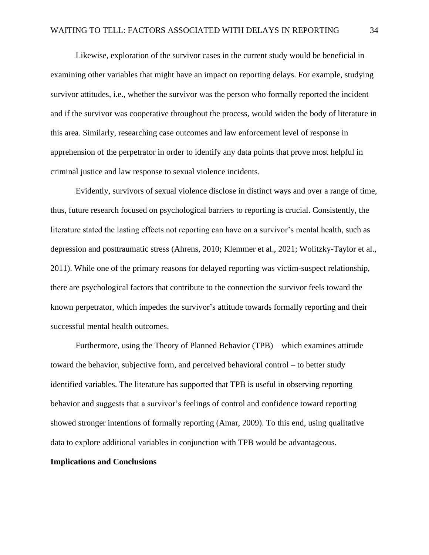Likewise, exploration of the survivor cases in the current study would be beneficial in examining other variables that might have an impact on reporting delays. For example, studying survivor attitudes, i.e., whether the survivor was the person who formally reported the incident and if the survivor was cooperative throughout the process, would widen the body of literature in this area. Similarly, researching case outcomes and law enforcement level of response in apprehension of the perpetrator in order to identify any data points that prove most helpful in criminal justice and law response to sexual violence incidents.

Evidently, survivors of sexual violence disclose in distinct ways and over a range of time, thus, future research focused on psychological barriers to reporting is crucial. Consistently, the literature stated the lasting effects not reporting can have on a survivor's mental health, such as depression and posttraumatic stress (Ahrens, 2010; Klemmer et al., 2021; Wolitzky-Taylor et al., 2011). While one of the primary reasons for delayed reporting was victim-suspect relationship, there are psychological factors that contribute to the connection the survivor feels toward the known perpetrator, which impedes the survivor's attitude towards formally reporting and their successful mental health outcomes.

Furthermore, using the Theory of Planned Behavior (TPB) – which examines attitude toward the behavior, subjective form, and perceived behavioral control – to better study identified variables. The literature has supported that TPB is useful in observing reporting behavior and suggests that a survivor's feelings of control and confidence toward reporting showed stronger intentions of formally reporting (Amar, 2009). To this end, using qualitative data to explore additional variables in conjunction with TPB would be advantageous.

#### <span id="page-34-0"></span>**Implications and Conclusions**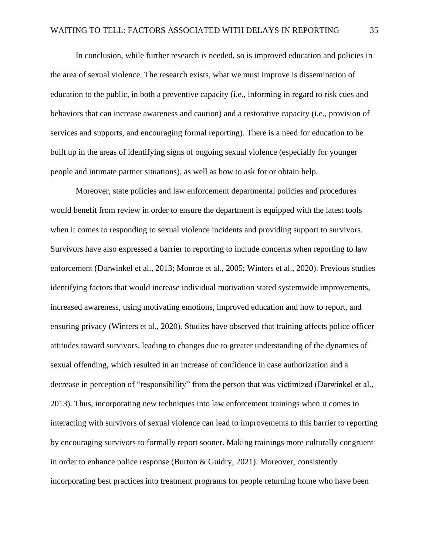In conclusion, while further research is needed, so is improved education and policies in the area of sexual violence. The research exists, what we must improve is dissemination of education to the public, in both a preventive capacity (i.e., informing in regard to risk cues and behaviors that can increase awareness and caution) and a restorative capacity (i.e., provision of services and supports, and encouraging formal reporting). There is a need for education to be built up in the areas of identifying signs of ongoing sexual violence (especially for younger people and intimate partner situations), as well as how to ask for or obtain help.

Moreover, state policies and law enforcement departmental policies and procedures would benefit from review in order to ensure the department is equipped with the latest tools when it comes to responding to sexual violence incidents and providing support to survivors. Survivors have also expressed a barrier to reporting to include concerns when reporting to law enforcement (Darwinkel et al., 2013; Monroe et al., 2005; Winters et al., 2020). Previous studies identifying factors that would increase individual motivation stated systemwide improvements, increased awareness, using motivating emotions, improved education and how to report, and ensuring privacy (Winters et al., 2020). Studies have observed that training affects police officer attitudes toward survivors, leading to changes due to greater understanding of the dynamics of sexual offending, which resulted in an increase of confidence in case authorization and a decrease in perception of "responsibility" from the person that was victimized (Darwinkel et al., 2013). Thus, incorporating new techniques into law enforcement trainings when it comes to interacting with survivors of sexual violence can lead to improvements to this barrier to reporting by encouraging survivors to formally report sooner. Making trainings more culturally congruent in order to enhance police response (Burton  $\&$  Guidry, 2021). Moreover, consistently incorporating best practices into treatment programs for people returning home who have been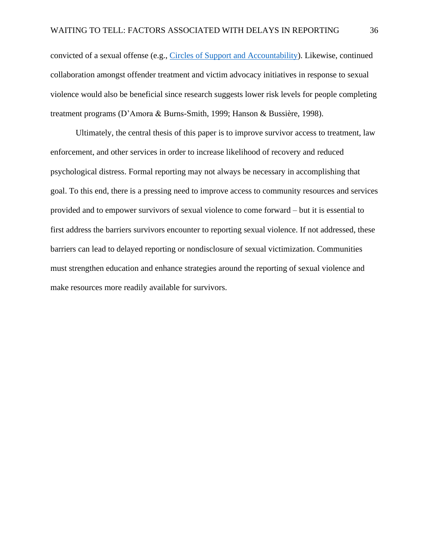convicted of a sexual offense (e.g., [Circles of Support and Accountability\)](https://csgjusticecenter.org/publications/circles-of-support-and-accountability/). Likewise, continued collaboration amongst offender treatment and victim advocacy initiatives in response to sexual violence would also be beneficial since research suggests lower risk levels for people completing treatment programs (D'Amora & Burns-Smith, 1999; Hanson & Bussière, 1998).

Ultimately, the central thesis of this paper is to improve survivor access to treatment, law enforcement, and other services in order to increase likelihood of recovery and reduced psychological distress. Formal reporting may not always be necessary in accomplishing that goal. To this end, there is a pressing need to improve access to community resources and services provided and to empower survivors of sexual violence to come forward – but it is essential to first address the barriers survivors encounter to reporting sexual violence. If not addressed, these barriers can lead to delayed reporting or nondisclosure of sexual victimization. Communities must strengthen education and enhance strategies around the reporting of sexual violence and make resources more readily available for survivors.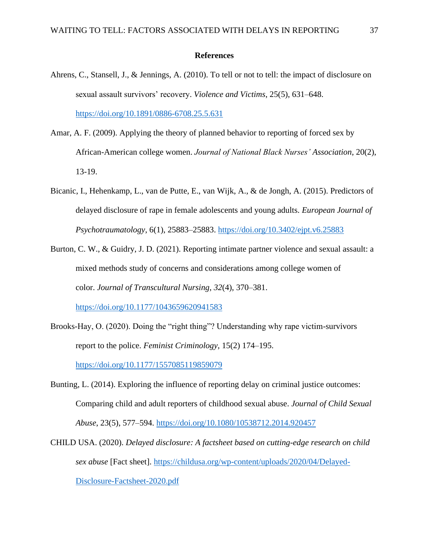#### **References**

- <span id="page-37-0"></span>Ahrens, C., Stansell, J., & Jennings, A. (2010). To tell or not to tell: the impact of disclosure on sexual assault survivors' recovery. *Violence and Victims*, 25(5), 631–648. <https://doi.org/10.1891/0886-6708.25.5.631>
- Amar, A. F. (2009). Applying the theory of planned behavior to reporting of forced sex by African-American college women. *Journal of National Black Nurses' Association*, 20(2), 13-19.
- Bicanic, I., Hehenkamp, L., van de Putte, E., van Wijk, A., & de Jongh, A. (2015). Predictors of delayed disclosure of rape in female adolescents and young adults. *European Journal of Psychotraumatology*, 6(1), 25883–25883.<https://doi.org/10.3402/ejpt.v6.25883>
- Burton, C. W., & Guidry, J. D. (2021). Reporting intimate partner violence and sexual assault: a mixed methods study of concerns and considerations among college women of color. *Journal of Transcultural Nursing*, *32*(4), 370–381. <https://doi.org/10.1177/1043659620941583>
- Brooks-Hay, O. (2020). Doing the "right thing"? Understanding why rape victim-survivors report to the police. *Feminist Criminology*, 15(2) 174–195. <https://doi.org/10.1177/1557085119859079>
- Bunting, L. (2014). Exploring the influence of reporting delay on criminal justice outcomes: Comparing child and adult reporters of childhood sexual abuse. *Journal of Child Sexual Abuse*, 23(5), 577–594.<https://doi.org/10.1080/10538712.2014.920457>
- CHILD USA. (2020). *Delayed disclosure: A factsheet based on cutting-edge research on child sex abuse* [Fact sheet]. [https://childusa.org/wp-content/uploads/2020/04/Delayed-](https://childusa.org/wp-content/uploads/2020/04/Delayed-Disclosure-Factsheet-2020.pdf)[Disclosure-Factsheet-2020.pdf](https://childusa.org/wp-content/uploads/2020/04/Delayed-Disclosure-Factsheet-2020.pdf)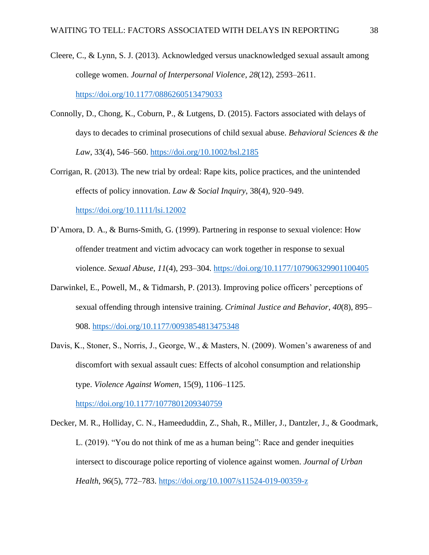- Cleere, C., & Lynn, S. J. (2013). Acknowledged versus unacknowledged sexual assault among college women. *Journal of Interpersonal Violence*, *28*(12), 2593–2611. <https://doi.org/10.1177/0886260513479033>
- Connolly, D., Chong, K., Coburn, P., & Lutgens, D. (2015). Factors associated with delays of days to decades to criminal prosecutions of child sexual abuse. *Behavioral Sciences & the Law*, 33(4), 546–560.<https://doi.org/10.1002/bsl.2185>
- Corrigan, R. (2013). The new trial by ordeal: Rape kits, police practices, and the unintended effects of policy innovation. *Law & Social Inquiry*, 38(4), 920–949. <https://doi.org/10.1111/lsi.12002>
- D'Amora, D. A., & Burns-Smith, G. (1999). Partnering in response to sexual violence: How offender treatment and victim advocacy can work together in response to sexual violence. *Sexual Abuse*, *11*(4), 293–304.<https://doi.org/10.1177/107906329901100405>
- Darwinkel, E., Powell, M., & Tidmarsh, P. (2013). Improving police officers' perceptions of sexual offending through intensive training. *Criminal Justice and Behavior*, *40*(8), 895– 908.<https://doi.org/10.1177/0093854813475348>
- Davis, K., Stoner, S., Norris, J., George, W., & Masters, N. (2009). Women's awareness of and discomfort with sexual assault cues: Effects of alcohol consumption and relationship type. *Violence Against Women*, 15(9), 1106–1125.

<https://doi.org/10.1177/1077801209340759>

Decker, M. R., Holliday, C. N., Hameeduddin, Z., Shah, R., Miller, J., Dantzler, J., & Goodmark, L. (2019). "You do not think of me as a human being": Race and gender inequities intersect to discourage police reporting of violence against women. *Journal of Urban Health*, *96*(5), 772–783.<https://doi.org/10.1007/s11524-019-00359-z>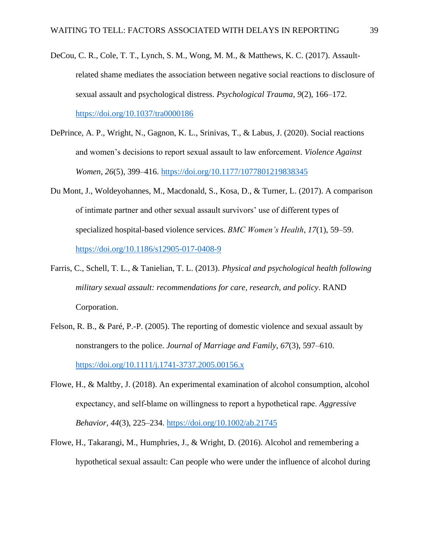- DeCou, C. R., Cole, T. T., Lynch, S. M., Wong, M. M., & Matthews, K. C. (2017). Assaultrelated shame mediates the association between negative social reactions to disclosure of sexual assault and psychological distress. *Psychological Trauma*, *9*(2), 166–172. <https://doi.org/10.1037/tra0000186>
- DePrince, A. P., Wright, N., Gagnon, K. L., Srinivas, T., & Labus, J. (2020). Social reactions and women's decisions to report sexual assault to law enforcement. *Violence Against Women*, *26*(5), 399–416.<https://doi.org/10.1177/1077801219838345>
- Du Mont, J., Woldeyohannes, M., Macdonald, S., Kosa, D., & Turner, L. (2017). A comparison of intimate partner and other sexual assault survivors' use of different types of specialized hospital-based violence services. *BMC Women's Health*, *17*(1), 59–59. <https://doi.org/10.1186/s12905-017-0408-9>
- Farris, C., Schell, T. L., & Tanielian, T. L. (2013). *Physical and psychological health following military sexual assault: recommendations for care, research, and policy*. RAND Corporation.
- Felson, R. B., & Paré, P.-P. (2005). The reporting of domestic violence and sexual assault by nonstrangers to the police. *Journal of Marriage and Family*, *67*(3), 597–610. <https://doi.org/10.1111/j.1741-3737.2005.00156.x>
- Flowe, H., & Maltby, J. (2018). An experimental examination of alcohol consumption, alcohol expectancy, and self‐blame on willingness to report a hypothetical rape. *Aggressive Behavior*, *44*(3), 225–234.<https://doi.org/10.1002/ab.21745>
- Flowe, H., Takarangi, M., Humphries, J., & Wright, D. (2016). Alcohol and remembering a hypothetical sexual assault: Can people who were under the influence of alcohol during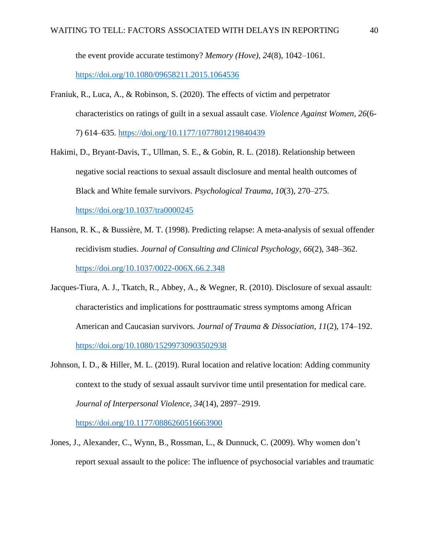the event provide accurate testimony? *Memory (Hove), 24*(8), 1042–1061.

<https://doi.org/10.1080/09658211.2015.1064536>

- Franiuk, R., Luca, A., & Robinson, S. (2020). The effects of victim and perpetrator characteristics on ratings of guilt in a sexual assault case. *Violence Against Women, 26*(6- 7) 614–635.<https://doi.org/10.1177/1077801219840439>
- Hakimi, D., Bryant-Davis, T., Ullman, S. E., & Gobin, R. L. (2018). Relationship between negative social reactions to sexual assault disclosure and mental health outcomes of Black and White female survivors. *Psychological Trauma*, *10*(3), 270–275. <https://doi.org/10.1037/tra0000245>
- Hanson, R. K., & Bussière, M. T. (1998). Predicting relapse: A meta-analysis of sexual offender recidivism studies. *Journal of Consulting and Clinical Psychology*, *66*(2), 348–362. <https://doi.org/10.1037/0022-006X.66.2.348>
- Jacques-Tiura, A. J., Tkatch, R., Abbey, A., & Wegner, R. (2010). Disclosure of sexual assault: characteristics and implications for posttraumatic stress symptoms among African American and Caucasian survivors. *Journal of Trauma & Dissociation*, *11*(2), 174–192. <https://doi.org/10.1080/15299730903502938>
- Johnson, I. D., & Hiller, M. L. (2019). Rural location and relative location: Adding community context to the study of sexual assault survivor time until presentation for medical care. *Journal of Interpersonal Violence*, *34*(14), 2897–2919.

<https://doi.org/10.1177/0886260516663900>

Jones, J., Alexander, C., Wynn, B., Rossman, L., & Dunnuck, C. (2009). Why women don't report sexual assault to the police: The influence of psychosocial variables and traumatic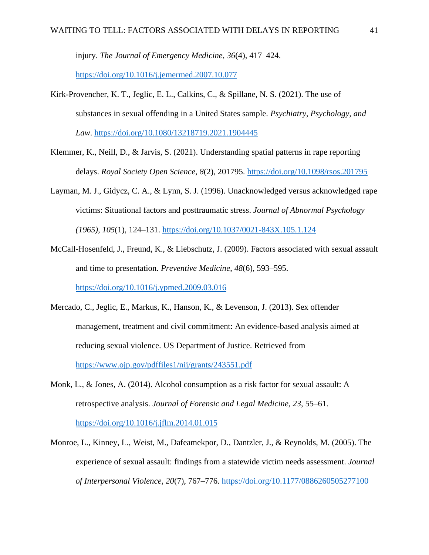injury. *The Journal of Emergency Medicine*, *36*(4), 417–424.

<https://doi.org/10.1016/j.jemermed.2007.10.077>

- Kirk-Provencher, K. T., Jeglic, E. L., Calkins, C., & Spillane, N. S. (2021). The use of substances in sexual offending in a United States sample. *Psychiatry, Psychology, and Law*.<https://doi.org/10.1080/13218719.2021.1904445>
- Klemmer, K., Neill, D., & Jarvis, S. (2021). Understanding spatial patterns in rape reporting delays. *Royal Society Open Science*, *8*(2), 201795.<https://doi.org/10.1098/rsos.201795>
- Layman, M. J., Gidycz, C. A., & Lynn, S. J. (1996). Unacknowledged versus acknowledged rape victims: Situational factors and posttraumatic stress. *Journal of Abnormal Psychology (1965), 105*(1), 124–131.<https://doi.org/10.1037/0021-843X.105.1.124>
- McCall-Hosenfeld, J., Freund, K., & Liebschutz, J. (2009). Factors associated with sexual assault and time to presentation. *Preventive Medicine*, *48*(6), 593–595. <https://doi.org/10.1016/j.ypmed.2009.03.016>
- Mercado, C., Jeglic, E., Markus, K., Hanson, K., & Levenson, J. (2013). Sex offender management, treatment and civil commitment: An evidence-based analysis aimed at reducing sexual violence. US Department of Justice. Retrieved from <https://www.ojp.gov/pdffiles1/nij/grants/243551.pdf>
- Monk, L., & Jones, A. (2014). Alcohol consumption as a risk factor for sexual assault: A retrospective analysis. *Journal of Forensic and Legal Medicine, 23*, 55–61. <https://doi.org/10.1016/j.jflm.2014.01.015>
- Monroe, L., Kinney, L., Weist, M., Dafeamekpor, D., Dantzler, J., & Reynolds, M. (2005). The experience of sexual assault: findings from a statewide victim needs assessment. *Journal of Interpersonal Violence, 20*(7), 767–776.<https://doi.org/10.1177/0886260505277100>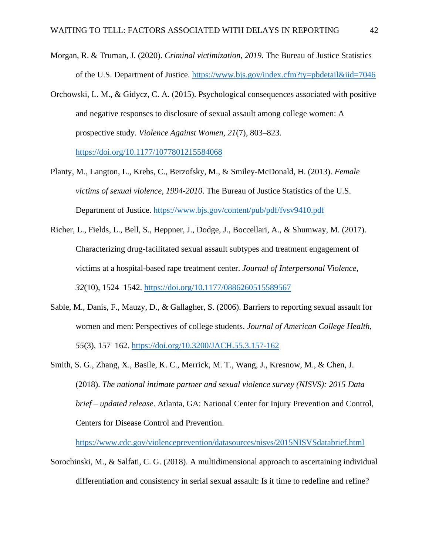- Morgan, R. & Truman, J. (2020). *Criminal victimization, 2019*. The Bureau of Justice Statistics of the U.S. Department of Justice.<https://www.bjs.gov/index.cfm?ty=pbdetail&iid=7046>
- Orchowski, L. M., & Gidycz, C. A. (2015). Psychological consequences associated with positive and negative responses to disclosure of sexual assault among college women: A prospective study. *Violence Against Women*, *21*(7), 803–823. <https://doi.org/10.1177/1077801215584068>
- Planty, M., Langton, L., Krebs, C., Berzofsky, M., & Smiley-McDonald, H. (2013). *Female victims of sexual violence, 1994-2010*. The Bureau of Justice Statistics of the U.S. Department of Justice.<https://www.bjs.gov/content/pub/pdf/fvsv9410.pdf>
- Richer, L., Fields, L., Bell, S., Heppner, J., Dodge, J., Boccellari, A., & Shumway, M. (2017). Characterizing drug-facilitated sexual assault subtypes and treatment engagement of victims at a hospital-based rape treatment center. *Journal of Interpersonal Violence*, *32*(10), 1524–1542.<https://doi.org/10.1177/0886260515589567>
- Sable, M., Danis, F., Mauzy, D., & Gallagher, S. (2006). Barriers to reporting sexual assault for women and men: Perspectives of college students. *Journal of American College Health*, *55*(3), 157–162.<https://doi.org/10.3200/JACH.55.3.157-162>
- Smith, S. G., Zhang, X., Basile, K. C., Merrick, M. T., Wang, J., Kresnow, M., & Chen, J. (2018). *The national intimate partner and sexual violence survey (NISVS): 2015 Data brief – updated release*. Atlanta, GA: National Center for Injury Prevention and Control, Centers for Disease Control and Prevention.

<https://www.cdc.gov/violenceprevention/datasources/nisvs/2015NISVSdatabrief.html>

Sorochinski, M., & Salfati, C. G. (2018). A multidimensional approach to ascertaining individual differentiation and consistency in serial sexual assault: Is it time to redefine and refine?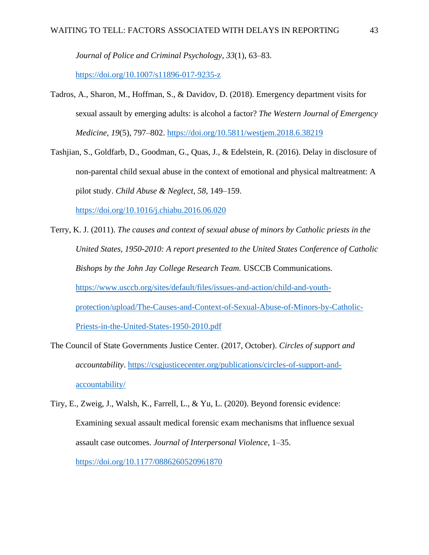*Journal of Police and Criminal Psychology*, *33*(1), 63–83.

<https://doi.org/10.1007/s11896-017-9235-z>

- Tadros, A., Sharon, M., Hoffman, S., & Davidov, D. (2018). Emergency department visits for sexual assault by emerging adults: is alcohol a factor? *The Western Journal of Emergency Medicine*, *19*(5), 797–802.<https://doi.org/10.5811/westjem.2018.6.38219>
- Tashjian, S., Goldfarb, D., Goodman, G., Quas, J., & Edelstein, R. (2016). Delay in disclosure of non-parental child sexual abuse in the context of emotional and physical maltreatment: A pilot study. *Child Abuse & Neglect*, *58*, 149–159.

<https://doi.org/10.1016/j.chiabu.2016.06.020>

- Terry, K. J. (2011). *The causes and context of sexual abuse of minors by Catholic priests in the United States, 1950-2010: A report presented to the United States Conference of Catholic Bishops by the John Jay College Research Team.* USCCB Communications. [https://www.usccb.org/sites/default/files/issues-and-action/child-and-youth](https://www.usccb.org/sites/default/files/issues-and-action/child-and-youth-protection/upload/The-Causes-and-Context-of-Sexual-Abuse-of-Minors-by-Catholic-Priests-in-the-United-States-1950-2010.pdf)[protection/upload/The-Causes-and-Context-of-Sexual-Abuse-of-Minors-by-Catholic-](https://www.usccb.org/sites/default/files/issues-and-action/child-and-youth-protection/upload/The-Causes-and-Context-of-Sexual-Abuse-of-Minors-by-Catholic-Priests-in-the-United-States-1950-2010.pdf)[Priests-in-the-United-States-1950-2010.pdf](https://www.usccb.org/sites/default/files/issues-and-action/child-and-youth-protection/upload/The-Causes-and-Context-of-Sexual-Abuse-of-Minors-by-Catholic-Priests-in-the-United-States-1950-2010.pdf)
- The Council of State Governments Justice Center. (2017, October). *Circles of support and accountability*. [https://csgjusticecenter.org/publications/circles-of-support-and](https://csgjusticecenter.org/publications/circles-of-support-and-accountability/)[accountability/](https://csgjusticecenter.org/publications/circles-of-support-and-accountability/)
- Tiry, E., Zweig, J., Walsh, K., Farrell, L., & Yu, L. (2020). Beyond forensic evidence: Examining sexual assault medical forensic exam mechanisms that influence sexual assault case outcomes. *Journal of Interpersonal Violence*, 1–35. <https://doi.org/10.1177/0886260520961870>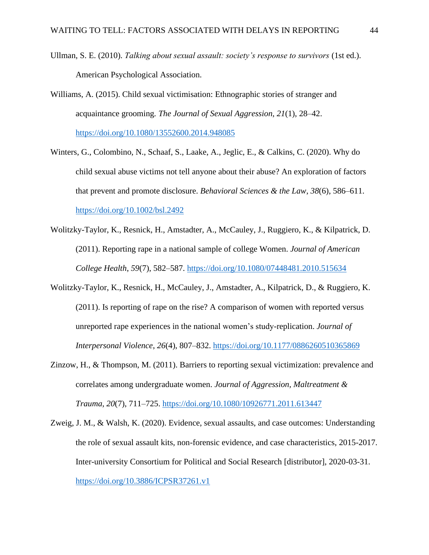- Ullman, S. E. (2010). *Talking about sexual assault: society's response to survivors* (1st ed.). American Psychological Association.
- Williams, A. (2015). Child sexual victimisation: Ethnographic stories of stranger and acquaintance grooming*. The Journal of Sexual Aggression*, *21*(1), 28–42. <https://doi.org/10.1080/13552600.2014.948085>
- Winters, G., Colombino, N., Schaaf, S., Laake, A., Jeglic, E., & Calkins, C. (2020). Why do child sexual abuse victims not tell anyone about their abuse? An exploration of factors that prevent and promote disclosure. *Behavioral Sciences & the Law*, *38*(6), 586–611. <https://doi.org/10.1002/bsl.2492>
- Wolitzky-Taylor, K., Resnick, H., Amstadter, A., McCauley, J., Ruggiero, K., & Kilpatrick, D. (2011). Reporting rape in a national sample of college Women. *Journal of American College Health*, *59*(7), 582–587.<https://doi.org/10.1080/07448481.2010.515634>
- Wolitzky-Taylor, K., Resnick, H., McCauley, J., Amstadter, A., Kilpatrick, D., & Ruggiero, K. (2011). Is reporting of rape on the rise? A comparison of women with reported versus unreported rape experiences in the national women's study-replication. *Journal of Interpersonal Violence*, *26*(4), 807–832.<https://doi.org/10.1177/0886260510365869>
- Zinzow, H., & Thompson, M. (2011). Barriers to reporting sexual victimization: prevalence and correlates among undergraduate women. *Journal of Aggression, Maltreatment & Trauma*, *20*(7), 711–725.<https://doi.org/10.1080/10926771.2011.613447>
- Zweig, J. M., & Walsh, K. (2020). Evidence, sexual assaults, and case outcomes: Understanding the role of sexual assault kits, non-forensic evidence, and case characteristics, 2015-2017. Inter-university Consortium for Political and Social Research [distributor], 2020-03-31. <https://doi.org/10.3886/ICPSR37261.v1>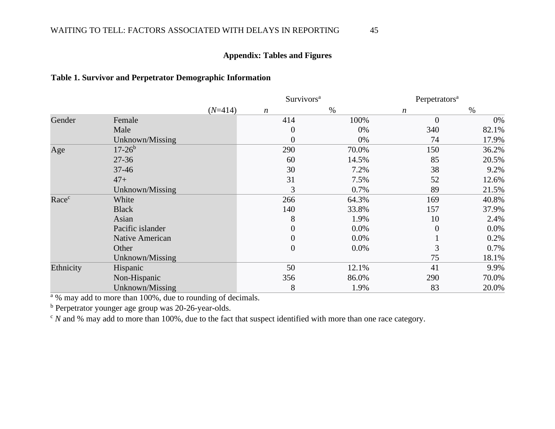## WAITING TO TELL: FACTORS ASSOCIATED WITH DELAYS IN REPORTING 45

## **Appendix: Tables and Figures**

## **Table 1. Survivor and Perpetrator Demographic Information**

<span id="page-45-0"></span>

|           |                        |           | Survivors <sup>a</sup> |         | Perpetrators <sup>a</sup> |       |  |
|-----------|------------------------|-----------|------------------------|---------|---------------------------|-------|--|
|           |                        | $(N=414)$ | $\boldsymbol{n}$       | $\%$    | $\boldsymbol{n}$          | $\%$  |  |
| Gender    | Female                 |           | 414                    | 100%    | $\overline{0}$            | 0%    |  |
|           | Male                   |           | 0                      | 0%      | 340                       | 82.1% |  |
|           | Unknown/Missing        |           | 0                      | 0%      | 74                        | 17.9% |  |
| Age       | $17 - 26^b$            |           | 290                    | 70.0%   | 150                       | 36.2% |  |
|           | $27 - 36$              |           | 60                     | 14.5%   | 85                        | 20.5% |  |
|           | $37 - 46$              |           | 30                     | 7.2%    | 38                        | 9.2%  |  |
|           | $47+$                  |           | 31                     | 7.5%    | 52                        | 12.6% |  |
|           | Unknown/Missing        |           | 3                      | 0.7%    | 89                        | 21.5% |  |
| Racec     | White                  |           | 266                    | 64.3%   | 169                       | 40.8% |  |
|           | <b>Black</b>           |           | 140                    | 33.8%   | 157                       | 37.9% |  |
|           | Asian                  |           | 8                      | 1.9%    | 10                        | 2.4%  |  |
|           | Pacific islander       |           | 0                      | 0.0%    | $\theta$                  | 0.0%  |  |
|           | <b>Native American</b> |           | 0                      | 0.0%    |                           | 0.2%  |  |
|           | Other                  |           | $\overline{0}$         | $0.0\%$ | 3                         | 0.7%  |  |
|           | Unknown/Missing        |           |                        |         | 75                        | 18.1% |  |
| Ethnicity | Hispanic               |           | 50                     | 12.1%   | 41                        | 9.9%  |  |
|           | Non-Hispanic           |           | 356                    | 86.0%   | 290                       | 70.0% |  |
|           | Unknown/Missing        |           | 8                      | 1.9%    | 83                        | 20.0% |  |

<span id="page-45-1"></span> $\frac{a}{a}$ % may add to more than 100%, due to rounding of decimals.

<sup>b</sup> Perpetrator younger age group was 20-26-year-olds.

<sup>c</sup> *N* and % may add to more than 100%, due to the fact that suspect identified with more than one race category.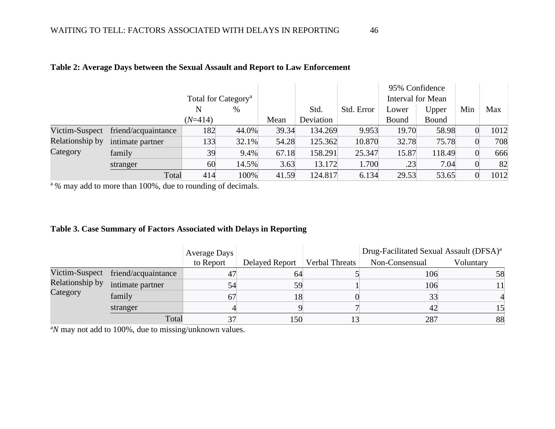|                 |                     |           |                                 |       |           |            |       | 95% Confidence           |                |      |
|-----------------|---------------------|-----------|---------------------------------|-------|-----------|------------|-------|--------------------------|----------------|------|
|                 |                     |           | Total for Category <sup>a</sup> |       |           |            |       | <b>Interval for Mean</b> |                |      |
|                 |                     | N         | %                               |       | Std.      | Std. Error | Lower | Upper                    | Min            | Max  |
|                 |                     | $(N=414)$ |                                 | Mean  | Deviation |            | Bound | Bound                    |                |      |
| Victim-Suspect  | friend/acquaintance | 182       | 44.0%                           | 39.34 | 134.269   | 9.953      | 19.70 | 58.98                    |                | 1012 |
| Relationship by | intimate partner    | 133       | 32.1%                           | 54.28 | 125.362   | 10.870     | 32.78 | 75.78                    | $\overline{0}$ | 708  |
| Category        | family              | 39        | 9.4%                            | 67.18 | 158.291   | 25.347     | 15.87 | 118.49                   | $\Omega$       | 666  |
|                 | stranger            | 60        | 14.5%                           | 3.63  | 13.172    | 1.700      | .23   | 7.04                     |                | 82   |
|                 | Total               | 414       | 100%                            | 41.59 | 124.817   | 6.134      | 29.53 | 53.65                    |                | 1012 |

## **Table 2: Average Days between the Sexual Assault and Report to Law Enforcement**

<span id="page-46-0"></span><sup>a</sup>% may add to more than 100%, due to rounding of decimals.

## **Table 3. Case Summary of Factors Associated with Delays in Reporting**

|                             |                                    | <b>Average Days</b> |                |                       | Drug-Facilitated Sexual Assault (DFSA) <sup>a</sup> |           |
|-----------------------------|------------------------------------|---------------------|----------------|-----------------------|-----------------------------------------------------|-----------|
|                             |                                    | to Report           | Delayed Report | <b>Verbal Threats</b> | Non-Consensual                                      | Voluntary |
| Relationship by<br>Category | Victim-Suspect friend/acquaintance | 47                  | 64             |                       | 106                                                 | 58        |
|                             | intimate partner                   | 54                  | 59             |                       | 106                                                 |           |
|                             | family                             | 67                  | 18             |                       | 33                                                  |           |
|                             | stranger                           |                     |                |                       | 42                                                  |           |
|                             | Total                              |                     | 150            |                       | 287                                                 | 88        |

<span id="page-46-1"></span><sup>a</sup>N may not add to 100%, due to missing/unknown values.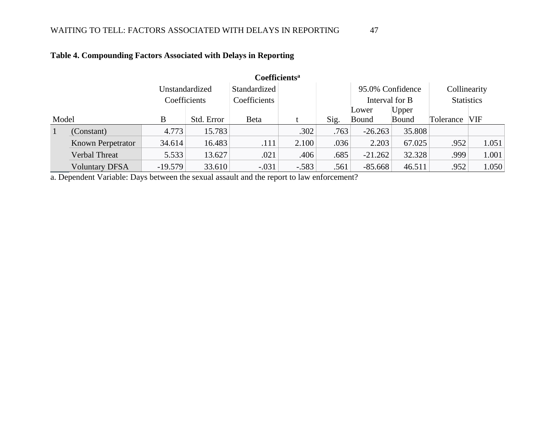| <b>Coefficients<sup>a</sup></b> |                          |              |            |              |                  |      |                |        |                   |            |
|---------------------------------|--------------------------|--------------|------------|--------------|------------------|------|----------------|--------|-------------------|------------|
| Unstandardized                  |                          | Standardized |            |              | 95.0% Confidence |      | Collinearity   |        |                   |            |
|                                 |                          | Coefficients |            | Coefficients |                  |      | Interval for B |        | <b>Statistics</b> |            |
|                                 |                          |              |            |              |                  |      | Lower          | Upper  |                   |            |
| Model                           |                          | В            | Std. Error | <b>B</b> eta |                  | Sig. | Bound          | Bound  | Tolerance         | <b>VIF</b> |
|                                 | (Constant)               | 4.773        | 15.783     |              | .302             | .763 | $-26.263$      | 35.808 |                   |            |
|                                 | <b>Known Perpetrator</b> | 34.614       | 16.483     | .111         | 2.100            | .036 | 2.203          | 67.025 | .952              | 1.051      |
|                                 | Verbal Threat            | 5.533        | 13.627     | .021         | .406             | .685 | $-21.262$      | 32.328 | .999              | 1.001      |
|                                 | <b>Voluntary DFSA</b>    | $-19.579$    | 33.610     | $-.031$      | $-.583$          | .561 | $-85.668$      | 46.511 | .952              | 1.050      |

## **Table 4. Compounding Factors Associated with Delays in Reporting**

<span id="page-47-0"></span>a. Dependent Variable: Days between the sexual assault and the report to law enforcement?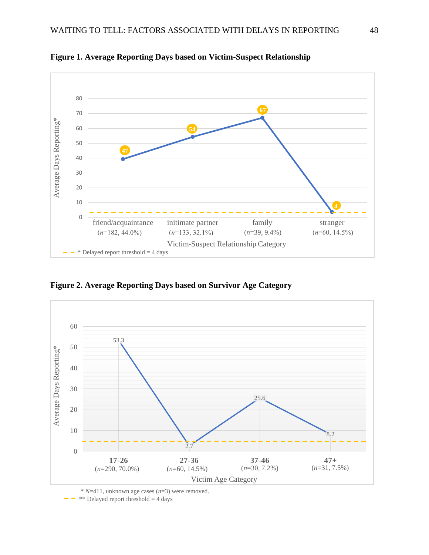

<span id="page-48-0"></span>**Figure 1. Average Reporting Days based on Victim-Suspect Relationship**

<span id="page-48-1"></span>**Figure 2. Average Reporting Days based on Survivor Age Category**



\* *N*=411, unknown age cases (*n*=3) were removed.

 $*$  Delayed report threshold  $=$  4 days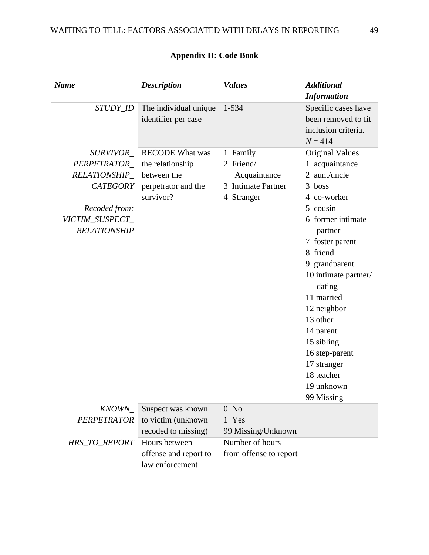<span id="page-49-0"></span>

| <b>Name</b>                               | <b>Description</b>                                        | <b>Values</b>                         | <b>Additional</b>                                                                            |
|-------------------------------------------|-----------------------------------------------------------|---------------------------------------|----------------------------------------------------------------------------------------------|
|                                           |                                                           |                                       | <b>Information</b>                                                                           |
| STUDY_ID                                  | The individual unique<br>identifier per case              | 1-534                                 | Specific cases have<br>been removed to fit<br>inclusion criteria.<br>$N = 414$               |
| SURVIVOR_<br>PERPETRATOR<br>RELATIONSHIP_ | <b>RECODE</b> What was<br>the relationship<br>between the | 1 Family<br>2 Friend/<br>Acquaintance | <b>Original Values</b><br>1 acquaintance<br>2 aunt/uncle                                     |
| <b>CATEGORY</b>                           | perpetrator and the<br>survivor?                          | 3 Intimate Partner<br>4 Stranger      | 3 boss<br>4 co-worker                                                                        |
| Recoded from:                             |                                                           |                                       | 5 cousin                                                                                     |
| VICTIM_SUSPECT_<br><b>RELATIONSHIP</b>    |                                                           |                                       | 6 former intimate<br>partner                                                                 |
|                                           |                                                           |                                       | 7 foster parent<br>8 friend<br>9 grandparent<br>10 intimate partner/<br>dating<br>11 married |
|                                           |                                                           |                                       | 12 neighbor<br>13 other                                                                      |
|                                           |                                                           |                                       | 14 parent                                                                                    |
|                                           |                                                           |                                       | 15 sibling                                                                                   |
|                                           |                                                           |                                       | 16 step-parent                                                                               |
|                                           |                                                           |                                       | 17 stranger                                                                                  |
|                                           |                                                           |                                       | 18 teacher                                                                                   |
|                                           |                                                           |                                       | 19 unknown                                                                                   |
|                                           |                                                           |                                       | 99 Missing                                                                                   |
| KNOWN_                                    | Suspect was known                                         | $0$ No                                |                                                                                              |
| PERPETRATOR                               | to victim (unknown<br>recoded to missing)                 | 1 Yes<br>99 Missing/Unknown           |                                                                                              |
| HRS_TO_REPORT                             | Hours between                                             | Number of hours                       |                                                                                              |
|                                           | offense and report to<br>law enforcement                  | from offense to report                |                                                                                              |

## **Appendix II: Code Book**